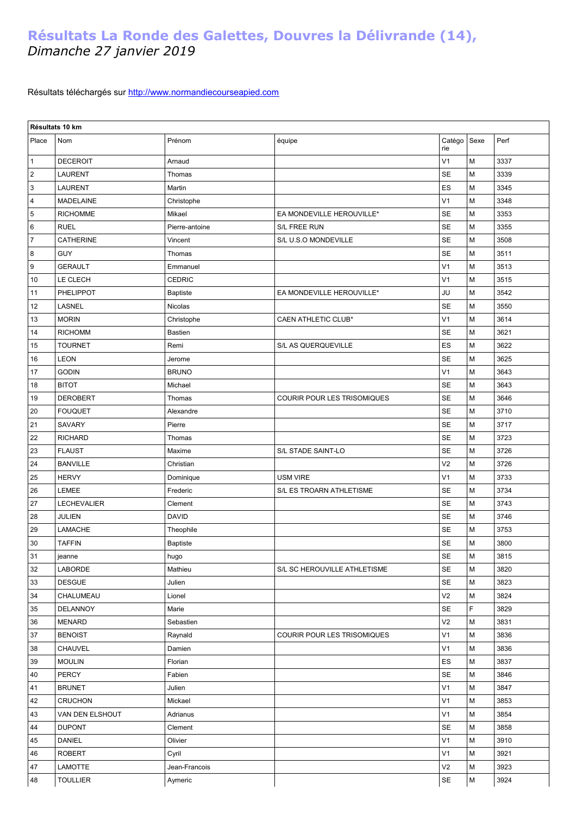## **Résultats La Ronde des Galettes, Douvres la Délivrande (14),**  *Dimanche 27 janvier 2019*

## Résultats téléchargés sur [http://www.normandiecourseapied.com](http://www.normandiecourseapied.com/)

|                | Résultats 10 km  |                |                              |                |           |      |  |  |  |  |
|----------------|------------------|----------------|------------------------------|----------------|-----------|------|--|--|--|--|
| Place          | Nom              | Prénom         | équipe                       | Catégo<br>rie  | Sexe      | Perf |  |  |  |  |
| $\mathbf{1}$   | <b>DECEROIT</b>  | Arnaud         |                              | V <sub>1</sub> | M         | 3337 |  |  |  |  |
| $\overline{2}$ | <b>LAURENT</b>   | Thomas         |                              | SE             | M         | 3339 |  |  |  |  |
| $\overline{3}$ | <b>LAURENT</b>   | Martin         |                              | ES             | M         | 3345 |  |  |  |  |
| $\overline{4}$ | <b>MADELAINE</b> | Christophe     |                              | V <sub>1</sub> | M         | 3348 |  |  |  |  |
| 5              | <b>RICHOMME</b>  | Mikael         | EA MONDEVILLE HEROUVILLE*    | SE             | M         | 3353 |  |  |  |  |
| $\,6\,$        | <b>RUEL</b>      | Pierre-antoine | S/L FREE RUN                 | <b>SE</b>      | M         | 3355 |  |  |  |  |
| $\overline{7}$ | <b>CATHERINE</b> | Vincent        | S/L U.S.O MONDEVILLE         | SE             | M         | 3508 |  |  |  |  |
| 8              | <b>GUY</b>       | Thomas         |                              | <b>SE</b>      | M         | 3511 |  |  |  |  |
| 9              | <b>GERAULT</b>   | Emmanuel       |                              | V <sub>1</sub> | M         | 3513 |  |  |  |  |
| 10             | LE CLECH         | CEDRIC         |                              | V <sub>1</sub> | M         | 3515 |  |  |  |  |
| 11             | <b>PHELIPPOT</b> | Baptiste       | EA MONDEVILLE HEROUVILLE*    | JU             | M         | 3542 |  |  |  |  |
| 12             | LASNEL           | Nicolas        |                              | <b>SE</b>      | M         | 3550 |  |  |  |  |
| 13             | <b>MORIN</b>     | Christophe     | <b>CAEN ATHLETIC CLUB*</b>   | V <sub>1</sub> | M         | 3614 |  |  |  |  |
| 14             | <b>RICHOMM</b>   | Bastien        |                              | <b>SE</b>      | M         | 3621 |  |  |  |  |
| 15             | <b>TOURNET</b>   | Remi           | S/L AS QUERQUEVILLE          | ES             | M         | 3622 |  |  |  |  |
| 16             | <b>LEON</b>      | Jerome         |                              | SE             | M         | 3625 |  |  |  |  |
| 17             | <b>GODIN</b>     | <b>BRUNO</b>   |                              | V <sub>1</sub> | M         | 3643 |  |  |  |  |
| 18             | <b>BITOT</b>     | Michael        |                              | <b>SE</b>      | M         | 3643 |  |  |  |  |
| 19             | <b>DEROBERT</b>  | Thomas         | COURIR POUR LES TRISOMIQUES  | <b>SE</b>      | M         | 3646 |  |  |  |  |
| 20             | <b>FOUQUET</b>   | Alexandre      |                              | <b>SE</b>      | M         | 3710 |  |  |  |  |
| 21             | SAVARY           | Pierre         |                              | <b>SE</b>      | M         | 3717 |  |  |  |  |
| 22             | <b>RICHARD</b>   | Thomas         |                              | SE             | M         | 3723 |  |  |  |  |
| 23             | <b>FLAUST</b>    | Maxime         | S/L STADE SAINT-LO           | <b>SE</b>      | M         | 3726 |  |  |  |  |
| 24             | <b>BANVILLE</b>  | Christian      |                              | V <sub>2</sub> | M         | 3726 |  |  |  |  |
| 25             | <b>HERVY</b>     | Dominique      | <b>USM VIRE</b>              | V <sub>1</sub> | M         | 3733 |  |  |  |  |
| 26             | <b>LEMEE</b>     | Frederic       | S/L ES TROARN ATHLETISME     | <b>SE</b>      | M         | 3734 |  |  |  |  |
| 27             | LECHEVALIER      | Clement        |                              | <b>SE</b>      | M         | 3743 |  |  |  |  |
| 28             | JULIEN           | <b>DAVID</b>   |                              | <b>SE</b>      | M         | 3746 |  |  |  |  |
| 29             | LAMACHE          | Theophile      |                              | <b>SE</b>      | M         | 3753 |  |  |  |  |
| 30             | <b>TAFFIN</b>    | Baptiste       |                              | <b>SE</b>      | M         | 3800 |  |  |  |  |
| 31             | jeanne           | hugo           |                              | SE             | ${\sf M}$ | 3815 |  |  |  |  |
| 32             | <b>LABORDE</b>   | Mathieu        | S/L SC HEROUVILLE ATHLETISME | SE             | М         | 3820 |  |  |  |  |
| 33             | <b>DESGUE</b>    | Julien         |                              | SE             | М         | 3823 |  |  |  |  |
| 34             | CHALUMEAU        | Lionel         |                              | V <sub>2</sub> | М         | 3824 |  |  |  |  |
| 35             | DELANNOY         | Marie          |                              | SE             | F         | 3829 |  |  |  |  |
| 36             | <b>MENARD</b>    | Sebastien      |                              | V <sub>2</sub> | М         | 3831 |  |  |  |  |
| 37             | <b>BENOIST</b>   | Raynald        | COURIR POUR LES TRISOMIQUES  | V <sub>1</sub> | М         | 3836 |  |  |  |  |
| 38             | CHAUVEL          | Damien         |                              | V <sub>1</sub> | М         | 3836 |  |  |  |  |
| 39             | <b>MOULIN</b>    | Florian        |                              | ES             | M         | 3837 |  |  |  |  |
| 40             | PERCY            | Fabien         |                              | <b>SE</b>      | M         | 3846 |  |  |  |  |
| 41             | <b>BRUNET</b>    | Julien         |                              | V <sub>1</sub> | М         | 3847 |  |  |  |  |
| 42             | <b>CRUCHON</b>   | Mickael        |                              | V <sub>1</sub> | М         | 3853 |  |  |  |  |
| 43             | VAN DEN ELSHOUT  | Adrianus       |                              | V <sub>1</sub> | M         | 3854 |  |  |  |  |
| 44             | <b>DUPONT</b>    | Clement        |                              | SE             | М         | 3858 |  |  |  |  |
| 45             | DANIEL           | Olivier        |                              | V <sub>1</sub> | М         | 3910 |  |  |  |  |
| 46             | <b>ROBERT</b>    | Cyril          |                              | V <sub>1</sub> | M         | 3921 |  |  |  |  |
| 47             | LAMOTTE          | Jean-Francois  |                              | V <sub>2</sub> | M         | 3923 |  |  |  |  |
| 48             | <b>TOULLIER</b>  | Aymeric        |                              | SE             | М         | 3924 |  |  |  |  |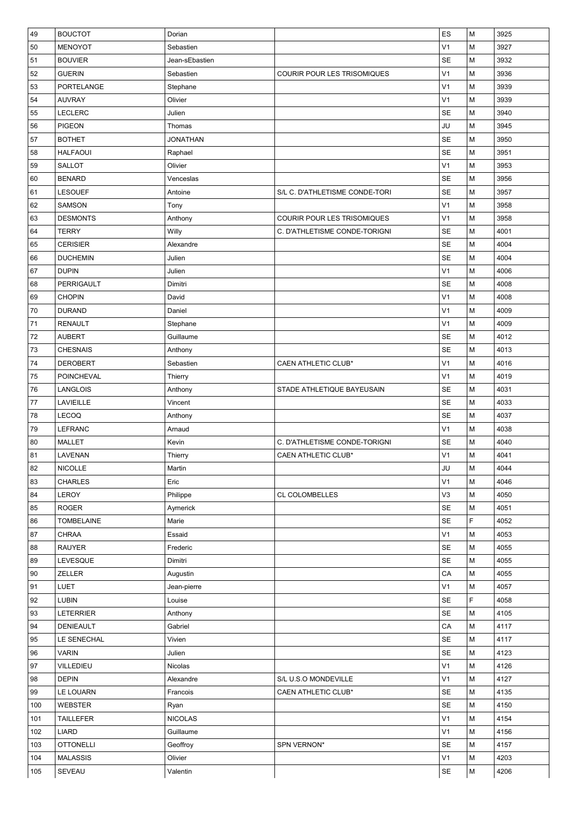| 49  | <b>BOUCTOT</b>    | Dorian          |                                | ES             | M | 3925 |
|-----|-------------------|-----------------|--------------------------------|----------------|---|------|
| 50  | <b>MENOYOT</b>    | Sebastien       |                                | V <sub>1</sub> | M | 3927 |
| 51  | <b>BOUVIER</b>    | Jean-sEbastien  |                                | <b>SE</b>      | M | 3932 |
| 52  | <b>GUERIN</b>     | Sebastien       | COURIR POUR LES TRISOMIQUES    | V <sub>1</sub> | M | 3936 |
| 53  | PORTELANGE        | Stephane        |                                | V <sub>1</sub> | M | 3939 |
| 54  | <b>AUVRAY</b>     | Olivier         |                                | V <sub>1</sub> | M | 3939 |
| 55  | <b>LECLERC</b>    | Julien          |                                | <b>SE</b>      | M | 3940 |
| 56  | <b>PIGEON</b>     | Thomas          |                                | JU             | M | 3945 |
| 57  | <b>BOTHET</b>     | <b>JONATHAN</b> |                                | <b>SE</b>      | M | 3950 |
| 58  | <b>HALFAOUI</b>   | Raphael         |                                | <b>SE</b>      | M | 3951 |
| 59  | <b>SALLOT</b>     | Olivier         |                                | V <sub>1</sub> | M | 3953 |
| 60  | <b>BENARD</b>     | Venceslas       |                                | <b>SE</b>      | M | 3956 |
| 61  | <b>LESOUEF</b>    | Antoine         | S/L C. D'ATHLETISME CONDE-TORI | <b>SE</b>      | M | 3957 |
| 62  | <b>SAMSON</b>     | Tony            |                                | V <sub>1</sub> | M | 3958 |
| 63  | <b>DESMONTS</b>   | Anthony         | COURIR POUR LES TRISOMIQUES    | V <sub>1</sub> | M | 3958 |
| 64  | <b>TERRY</b>      | Willy           | C. D'ATHLETISME CONDE-TORIGNI  | <b>SE</b>      | M | 4001 |
| 65  | <b>CERISIER</b>   | Alexandre       |                                | SE             | M | 4004 |
| 66  | <b>DUCHEMIN</b>   | Julien          |                                | <b>SE</b>      | M | 4004 |
| 67  | <b>DUPIN</b>      | Julien          |                                | V <sub>1</sub> | M | 4006 |
| 68  | PERRIGAULT        | Dimitri         |                                | <b>SE</b>      | M | 4008 |
| 69  | <b>CHOPIN</b>     | David           |                                | V <sub>1</sub> | M | 4008 |
| 70  | <b>DURAND</b>     | Daniel          |                                | V <sub>1</sub> | M | 4009 |
| 71  | <b>RENAULT</b>    | Stephane        |                                | V <sub>1</sub> | M | 4009 |
| 72  | <b>AUBERT</b>     | Guillaume       |                                | <b>SE</b>      | M | 4012 |
| 73  | <b>CHESNAIS</b>   | Anthony         |                                | <b>SE</b>      | M | 4013 |
| 74  | <b>DEROBERT</b>   | Sebastien       | <b>CAEN ATHLETIC CLUB*</b>     | V <sub>1</sub> | M | 4016 |
| 75  | <b>POINCHEVAL</b> | Thierry         |                                | V <sub>1</sub> | M | 4019 |
| 76  | <b>LANGLOIS</b>   | Anthony         | STADE ATHLETIQUE BAYEUSAIN     | <b>SE</b>      | M | 4031 |
| 77  | LAVIEILLE         | Vincent         |                                | SE             | M | 4033 |
| 78  | <b>LECOQ</b>      | Anthony         |                                | <b>SE</b>      | M | 4037 |
| 79  | <b>LEFRANC</b>    | Arnaud          |                                | V <sub>1</sub> | M | 4038 |
| 80  | <b>MALLET</b>     | Kevin           | C. D'ATHLETISME CONDE-TORIGNI  | <b>SE</b>      | M | 4040 |
| 81  | LAVENAN           | Thierry         | <b>CAEN ATHLETIC CLUB*</b>     | V <sub>1</sub> | M | 4041 |
| 82  | <b>NICOLLE</b>    | Martin          |                                | JU             | M | 4044 |
| 83  | <b>CHARLES</b>    | Eric            |                                | V <sub>1</sub> | М | 4046 |
| 84  | LEROY             | Philippe        | <b>CL COLOMBELLES</b>          | V3             | M | 4050 |
| 85  | <b>ROGER</b>      | Aymerick        |                                | SE             | M | 4051 |
| 86  | <b>TOMBELAINE</b> | Marie           |                                | <b>SE</b>      | F | 4052 |
| 87  | <b>CHRAA</b>      | Essaid          |                                | V <sub>1</sub> | M | 4053 |
| 88  | <b>RAUYER</b>     | Frederic        |                                | <b>SE</b>      | M | 4055 |
| 89  | LEVESQUE          | Dimitri         |                                | SE             | M | 4055 |
| 90  | ZELLER            | Augustin        |                                | CA             | M | 4055 |
| 91  | <b>LUET</b>       | Jean-pierre     |                                | V <sub>1</sub> | M | 4057 |
| 92  | <b>LUBIN</b>      | Louise          |                                | <b>SE</b>      | F | 4058 |
| 93  | <b>LETERRIER</b>  | Anthony         |                                | SE             | M | 4105 |
| 94  | DENIEAULT         | Gabriel         |                                | CA             | М | 4117 |
| 95  | LE SENECHAL       | Vivien          |                                | SE             | M | 4117 |
| 96  | <b>VARIN</b>      | Julien          |                                | SE             | M | 4123 |
| 97  | VILLEDIEU         | Nicolas         |                                | V <sub>1</sub> | M | 4126 |
| 98  | <b>DEPIN</b>      | Alexandre       | S/L U.S.O MONDEVILLE           | V <sub>1</sub> | M | 4127 |
| 99  | LE LOUARN         | Francois        | CAEN ATHLETIC CLUB*            | SE             | M | 4135 |
| 100 | WEBSTER           | Ryan            |                                | SE             | M | 4150 |
| 101 | <b>TAILLEFER</b>  | <b>NICOLAS</b>  |                                | V <sub>1</sub> | M | 4154 |
| 102 | <b>LIARD</b>      | Guillaume       |                                | V1             | M | 4156 |
| 103 | <b>OTTONELLI</b>  | Geoffroy        | SPN VERNON*                    | <b>SE</b>      | M | 4157 |
| 104 | <b>MALASSIS</b>   | Olivier         |                                | V <sub>1</sub> | M | 4203 |
| 105 | SEVEAU            | Valentin        |                                | <b>SE</b>      | M | 4206 |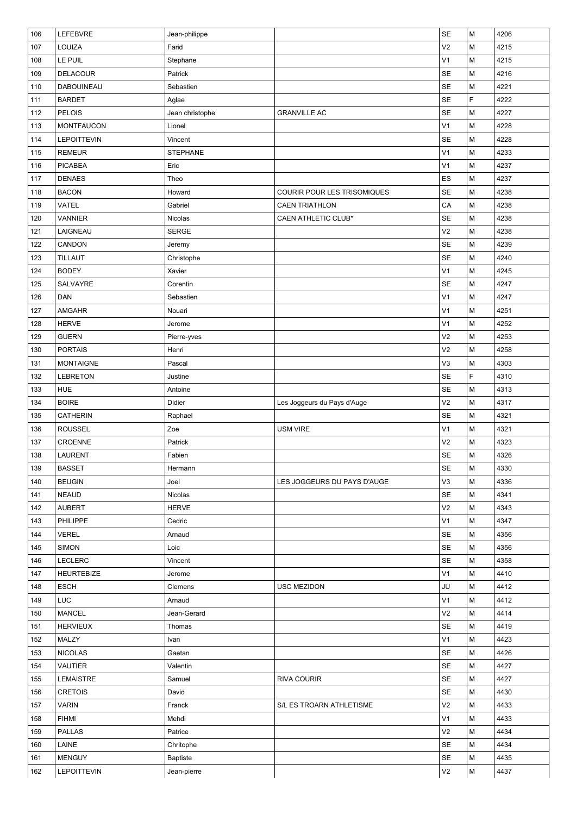| 106 | LEFEBVRE           | Jean-philippe   |                             | SE             | M                                                                                     | 4206 |
|-----|--------------------|-----------------|-----------------------------|----------------|---------------------------------------------------------------------------------------|------|
| 107 | LOUIZA             | Farid           |                             | V <sub>2</sub> | М                                                                                     | 4215 |
| 108 | LE PUIL            | Stephane        |                             | V <sub>1</sub> | М                                                                                     | 4215 |
| 109 | <b>DELACOUR</b>    | Patrick         |                             | <b>SE</b>      | M                                                                                     | 4216 |
| 110 | <b>DABOUINEAU</b>  | Sebastien       |                             | SE             | M                                                                                     | 4221 |
| 111 | <b>BARDET</b>      | Aglae           |                             | SE             | F                                                                                     | 4222 |
| 112 | <b>PELOIS</b>      | Jean christophe | <b>GRANVILLE AC</b>         | SE             | М                                                                                     | 4227 |
| 113 | <b>MONTFAUCON</b>  | Lionel          |                             | V <sub>1</sub> | $\mathsf{M}% _{T}=\mathsf{M}_{T}\!\left( a,b\right) ,\ \mathsf{M}_{T}=\mathsf{M}_{T}$ | 4228 |
| 114 | <b>LEPOITTEVIN</b> | Vincent         |                             | <b>SE</b>      | M                                                                                     | 4228 |
| 115 | <b>REMEUR</b>      | <b>STEPHANE</b> |                             | V <sub>1</sub> | M                                                                                     | 4233 |
| 116 | <b>PICABEA</b>     | Eric            |                             | V <sub>1</sub> | M                                                                                     | 4237 |
| 117 | <b>DENAES</b>      | Theo            |                             | ES             | M                                                                                     | 4237 |
| 118 | <b>BACON</b>       | Howard          | COURIR POUR LES TRISOMIQUES | <b>SE</b>      | М                                                                                     | 4238 |
| 119 | <b>VATEL</b>       | Gabriel         | <b>CAEN TRIATHLON</b>       | CA             | М                                                                                     | 4238 |
| 120 | <b>VANNIER</b>     | Nicolas         | CAEN ATHLETIC CLUB*         | <b>SE</b>      | M                                                                                     | 4238 |
| 121 | LAIGNEAU           | <b>SERGE</b>    |                             | V <sub>2</sub> | М                                                                                     | 4238 |
| 122 | CANDON             | Jeremy          |                             | <b>SE</b>      | М                                                                                     | 4239 |
| 123 | <b>TILLAUT</b>     | Christophe      |                             | SE             | M                                                                                     | 4240 |
| 124 | <b>BODEY</b>       | Xavier          |                             | V <sub>1</sub> | M                                                                                     | 4245 |
| 125 | SALVAYRE           | Corentin        |                             | <b>SE</b>      | М                                                                                     | 4247 |
| 126 | DAN                | Sebastien       |                             | V <sub>1</sub> | M                                                                                     | 4247 |
| 127 | <b>AMGAHR</b>      | Nouari          |                             | V <sub>1</sub> | M                                                                                     | 4251 |
| 128 | <b>HERVE</b>       | Jerome          |                             | V <sub>1</sub> | $\mathsf{M}% _{T}=\mathsf{M}_{T}\!\left( a,b\right) ,\ \mathsf{M}_{T}=\mathsf{M}_{T}$ | 4252 |
| 129 | <b>GUERN</b>       | Pierre-yves     |                             | V <sub>2</sub> | M                                                                                     | 4253 |
| 130 | <b>PORTAIS</b>     | Henri           |                             | V <sub>2</sub> | M                                                                                     | 4258 |
| 131 | <b>MONTAIGNE</b>   | Pascal          |                             | V3             | M                                                                                     | 4303 |
| 132 | <b>LEBRETON</b>    | Justine         |                             | <b>SE</b>      | F                                                                                     | 4310 |
| 133 | <b>HUE</b>         | Antoine         |                             | <b>SE</b>      | М                                                                                     | 4313 |
| 134 | <b>BOIRE</b>       | Didier          | Les Joggeurs du Pays d'Auge | V <sub>2</sub> | М                                                                                     | 4317 |
| 135 | <b>CATHERIN</b>    | Raphael         |                             | SE             | M                                                                                     | 4321 |
| 136 | <b>ROUSSEL</b>     | Zoe             | <b>USM VIRE</b>             | V <sub>1</sub> | М                                                                                     | 4321 |
| 137 | CROENNE            | Patrick         |                             | V <sub>2</sub> | М                                                                                     | 4323 |
| 138 | <b>LAURENT</b>     |                 |                             | SE             | M                                                                                     | 4326 |
|     | <b>BASSET</b>      | Fabien          |                             | SE             | M                                                                                     | 4330 |
| 139 | <b>BEUGIN</b>      | Hermann         |                             | V3             | М                                                                                     | 4336 |
| 140 |                    | Joel            | LES JOGGEURS DU PAYS D'AUGE |                |                                                                                       |      |
| 141 | <b>NEAUD</b>       | Nicolas         |                             | <b>SE</b>      | M                                                                                     | 4341 |
| 142 | <b>AUBERT</b>      | <b>HERVE</b>    |                             | V <sub>2</sub> | М                                                                                     | 4343 |
| 143 | PHILIPPE           | Cedric          |                             | V <sub>1</sub> | M                                                                                     | 4347 |
| 144 | <b>VEREL</b>       | Arnaud          |                             | <b>SE</b>      | М                                                                                     | 4356 |
| 145 | <b>SIMON</b>       | Loic            |                             | <b>SE</b>      | М                                                                                     | 4356 |
| 146 | <b>LECLERC</b>     | Vincent         |                             | <b>SE</b>      | М                                                                                     | 4358 |
| 147 | <b>HEURTEBIZE</b>  | Jerome          |                             | V <sub>1</sub> | М                                                                                     | 4410 |
| 148 | <b>ESCH</b>        | Clemens         | USC MEZIDON                 | JU             | м                                                                                     | 4412 |
| 149 | <b>LUC</b>         | Arnaud          |                             | V <sub>1</sub> | М                                                                                     | 4412 |
| 150 | <b>MANCEL</b>      | Jean-Gerard     |                             | V <sub>2</sub> | М                                                                                     | 4414 |
| 151 | <b>HERVIEUX</b>    | Thomas          |                             | <b>SE</b>      | М                                                                                     | 4419 |
| 152 | MALZY              | Ivan            |                             | V <sub>1</sub> | м                                                                                     | 4423 |
| 153 | <b>NICOLAS</b>     | Gaetan          |                             | <b>SE</b>      | М                                                                                     | 4426 |
| 154 | <b>VAUTIER</b>     | Valentin        |                             | SE             | M                                                                                     | 4427 |
| 155 | <b>LEMAISTRE</b>   | Samuel          | <b>RIVA COURIR</b>          | <b>SE</b>      | М                                                                                     | 4427 |
| 156 | <b>CRETOIS</b>     | David           |                             | <b>SE</b>      | М                                                                                     | 4430 |
| 157 | <b>VARIN</b>       | Franck          | S/L ES TROARN ATHLETISME    | V <sub>2</sub> | М                                                                                     | 4433 |
| 158 | <b>FIHMI</b>       | Mehdi           |                             | V <sub>1</sub> | M                                                                                     | 4433 |
| 159 | <b>PALLAS</b>      | Patrice         |                             | V <sub>2</sub> | м                                                                                     | 4434 |
| 160 | LAINE              | Chritophe       |                             | <b>SE</b>      | м                                                                                     | 4434 |
| 161 | <b>MENGUY</b>      | Baptiste        |                             | <b>SE</b>      | м                                                                                     | 4435 |
| 162 | <b>LEPOITTEVIN</b> | Jean-pierre     |                             | V <sub>2</sub> | М                                                                                     | 4437 |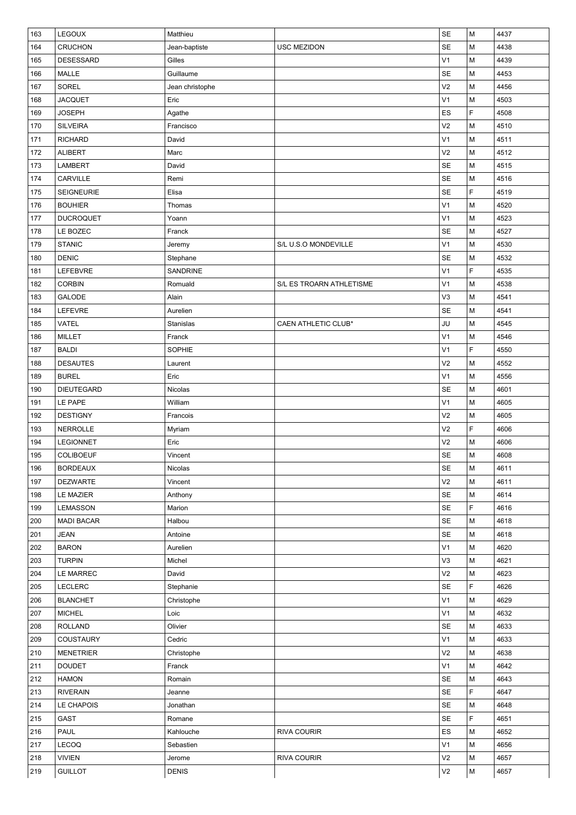| 163        | LEGOUX            | Matthieu        |                          | SE             | М                                                                                     | 4437 |
|------------|-------------------|-----------------|--------------------------|----------------|---------------------------------------------------------------------------------------|------|
| 164        | <b>CRUCHON</b>    | Jean-baptiste   | USC MEZIDON              | SE             | М                                                                                     | 4438 |
| 165        | <b>DESESSARD</b>  | Gilles          |                          | V <sub>1</sub> | M                                                                                     | 4439 |
| 166        | MALLE             | Guillaume       |                          | <b>SE</b>      | M                                                                                     | 4453 |
| 167        | SOREL             | Jean christophe |                          | V <sub>2</sub> | М                                                                                     | 4456 |
| 168        | <b>JACQUET</b>    | Eric            |                          | V <sub>1</sub> | M                                                                                     | 4503 |
| 169        | <b>JOSEPH</b>     | Agathe          |                          | ES             | F                                                                                     | 4508 |
| 170        | <b>SILVEIRA</b>   | Francisco       |                          | V <sub>2</sub> | M                                                                                     | 4510 |
| 171        | <b>RICHARD</b>    | David           |                          | V <sub>1</sub> | М                                                                                     | 4511 |
| 172        | <b>ALIBERT</b>    | Marc            |                          | V <sub>2</sub> | М                                                                                     | 4512 |
| 173        | LAMBERT           | David           |                          | SE             | M                                                                                     | 4515 |
| 174        | CARVILLE          | Remi            |                          | SE             | M                                                                                     | 4516 |
| 175        | <b>SEIGNEURIE</b> | Elisa           |                          | SE             | F                                                                                     | 4519 |
| 176        | <b>BOUHIER</b>    | Thomas          |                          | V <sub>1</sub> | M                                                                                     | 4520 |
| 177        | <b>DUCROQUET</b>  | Yoann           |                          | V <sub>1</sub> | $\mathsf{M}% _{T}=\mathsf{M}_{T}\!\left( a,b\right) ,\ \mathsf{M}_{T}=\mathsf{M}_{T}$ | 4523 |
| 178        | LE BOZEC          | Franck          |                          | SE             | М                                                                                     | 4527 |
| 179        | <b>STANIC</b>     | Jeremy          | S/L U.S.O MONDEVILLE     | V <sub>1</sub> | M                                                                                     | 4530 |
| 180        | <b>DENIC</b>      | Stephane        |                          | <b>SE</b>      | M                                                                                     | 4532 |
| 181        | LEFEBVRE          | SANDRINE        |                          | V <sub>1</sub> | F                                                                                     | 4535 |
| 182        | <b>CORBIN</b>     | Romuald         | S/L ES TROARN ATHLETISME | V <sub>1</sub> | М                                                                                     | 4538 |
| 183        | GALODE            | Alain           |                          | V3             | M                                                                                     | 4541 |
| 184        | LEFEVRE           | Aurelien        |                          | SE             | M                                                                                     | 4541 |
| 185        | VATEL             | Stanislas       | CAEN ATHLETIC CLUB*      | JU             | M                                                                                     | 4545 |
| 186        | <b>MILLET</b>     | Franck          |                          | V <sub>1</sub> | M                                                                                     | 4546 |
| 187        | <b>BALDI</b>      | SOPHIE          |                          | V <sub>1</sub> | F                                                                                     | 4550 |
| 188        | <b>DESAUTES</b>   | Laurent         |                          | V <sub>2</sub> | M                                                                                     | 4552 |
| 189        | <b>BUREL</b>      | Eric            |                          | V <sub>1</sub> | М                                                                                     | 4556 |
| 190        | <b>DIEUTEGARD</b> | Nicolas         |                          | <b>SE</b>      | M                                                                                     | 4601 |
| 191        | LE PAPE           | William         |                          | V <sub>1</sub> | M                                                                                     | 4605 |
| 192        | <b>DESTIGNY</b>   | Francois        |                          | V <sub>2</sub> | M                                                                                     | 4605 |
| 193        | <b>NERROLLE</b>   |                 |                          | V <sub>2</sub> | F                                                                                     | 4606 |
| 194        | <b>LEGIONNET</b>  | Myriam<br>Eric  |                          | V <sub>2</sub> | M                                                                                     | 4606 |
| 195        | <b>COLIBOEUF</b>  | Vincent         |                          | <b>SE</b>      | M                                                                                     | 4608 |
| 196        | <b>BORDEAUX</b>   | Nicolas         |                          | SE             | M                                                                                     | 4611 |
| 197        | <b>DEZWARTE</b>   | Vincent         |                          | V <sub>2</sub> | М                                                                                     | 4611 |
|            | <b>LE MAZIER</b>  | Anthony         |                          | <b>SE</b>      | М                                                                                     | 4614 |
| 198<br>199 |                   |                 |                          | <b>SE</b>      | F                                                                                     | 4616 |
|            | LEMASSON          | Marion          |                          |                |                                                                                       |      |
| 200        | <b>MADI BACAR</b> | Halbou          |                          | <b>SE</b>      | М                                                                                     | 4618 |
| 201        | <b>JEAN</b>       | Antoine         |                          | <b>SE</b>      | м                                                                                     | 4618 |
| 202        | <b>BARON</b>      | Aurelien        |                          | V <sub>1</sub> | M                                                                                     | 4620 |
| 203        | <b>TURPIN</b>     | Michel          |                          | V3             | M                                                                                     | 4621 |
| 204        | LE MARREC         | David           |                          | V <sub>2</sub> | M                                                                                     | 4623 |
| 205        | <b>LECLERC</b>    | Stephanie       |                          | <b>SE</b>      | F                                                                                     | 4626 |
| 206        | <b>BLANCHET</b>   | Christophe      |                          | V <sub>1</sub> | М                                                                                     | 4629 |
| 207        | <b>MICHEL</b>     | Loic            |                          | V <sub>1</sub> | M                                                                                     | 4632 |
| 208        | <b>ROLLAND</b>    | Olivier         |                          | <b>SE</b>      | М                                                                                     | 4633 |
| 209        | <b>COUSTAURY</b>  | Cedric          |                          | V <sub>1</sub> | M                                                                                     | 4633 |
| 210        | <b>MENETRIER</b>  | Christophe      |                          | V <sub>2</sub> | M                                                                                     | 4638 |
| 211        | <b>DOUDET</b>     | Franck          |                          | V <sub>1</sub> | M                                                                                     | 4642 |
| 212        | <b>HAMON</b>      | Romain          |                          | <b>SE</b>      | М                                                                                     | 4643 |
| 213        | <b>RIVERAIN</b>   | Jeanne          |                          | <b>SE</b>      | F                                                                                     | 4647 |
| 214        | LE CHAPOIS        | Jonathan        |                          | <b>SE</b>      | М                                                                                     | 4648 |
| 215        | GAST              | Romane          |                          | <b>SE</b>      | F                                                                                     | 4651 |
| 216        | PAUL              | Kahlouche       | RIVA COURIR              | ES             | М                                                                                     | 4652 |
| 217        | LECOQ             | Sebastien       |                          | V <sub>1</sub> | M                                                                                     | 4656 |
| 218        | <b>VIVIEN</b>     | Jerome          | RIVA COURIR              | V <sub>2</sub> | M                                                                                     | 4657 |
| 219        | <b>GUILLOT</b>    | <b>DENIS</b>    |                          | V <sub>2</sub> | М                                                                                     | 4657 |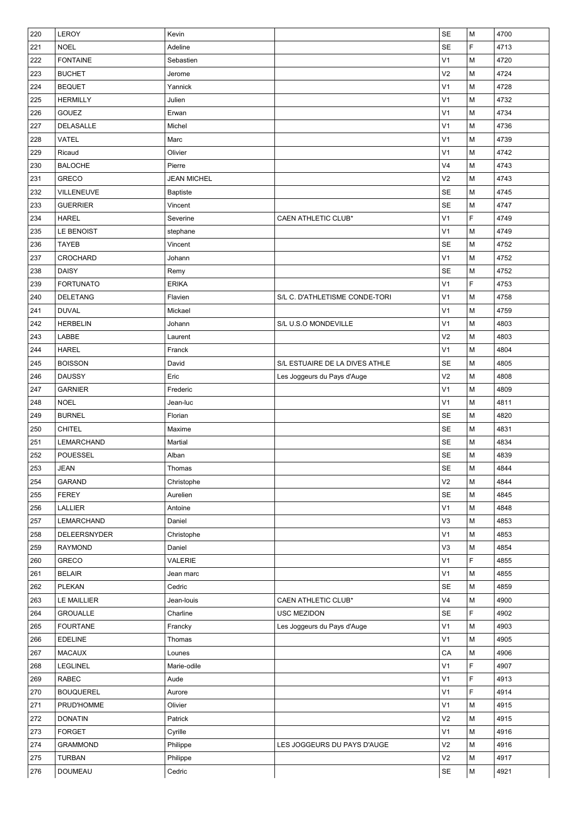| 220 | LEROY                  | Kevin              |                                | SE                   | M | 4700 |
|-----|------------------------|--------------------|--------------------------------|----------------------|---|------|
| 221 | <b>NOEL</b>            | Adeline            |                                | <b>SE</b>            | F | 4713 |
| 222 | <b>FONTAINE</b>        | Sebastien          |                                | V <sub>1</sub>       | M | 4720 |
| 223 | <b>BUCHET</b>          | Jerome             |                                | V <sub>2</sub>       | M | 4724 |
| 224 | <b>BEQUET</b>          | Yannick            |                                | V1                   | M | 4728 |
| 225 | <b>HERMILLY</b>        | Julien             |                                | V <sub>1</sub>       | M | 4732 |
| 226 | <b>GOUEZ</b>           | Erwan              |                                | V <sub>1</sub>       | M | 4734 |
| 227 | DELASALLE              | Michel             |                                | V <sub>1</sub>       | M | 4736 |
| 228 | <b>VATEL</b>           | Marc               |                                | V <sub>1</sub>       | M | 4739 |
| 229 | Ricaud                 | Olivier            |                                | V <sub>1</sub>       | M | 4742 |
| 230 | <b>BALOCHE</b>         | Pierre             |                                | V <sub>4</sub>       | M | 4743 |
| 231 | <b>GRECO</b>           | <b>JEAN MICHEL</b> |                                | V <sub>2</sub>       | M | 4743 |
| 232 | VILLENEUVE             | Baptiste           |                                | <b>SE</b>            | M | 4745 |
| 233 | <b>GUERRIER</b>        | Vincent            |                                | SE                   | M | 4747 |
| 234 | <b>HAREL</b>           | Severine           | CAEN ATHLETIC CLUB*            | V <sub>1</sub>       | F | 4749 |
| 235 | LE BENOIST             | stephane           |                                | V <sub>1</sub>       | M | 4749 |
| 236 | <b>TAYEB</b>           | Vincent            |                                | <b>SE</b>            | M | 4752 |
| 237 | <b>CROCHARD</b>        | Johann             |                                | V <sub>1</sub>       | M | 4752 |
| 238 | <b>DAISY</b>           | Remy               |                                | <b>SE</b>            | M | 4752 |
| 239 | <b>FORTUNATO</b>       | <b>ERIKA</b>       |                                | V1                   | F | 4753 |
| 240 | <b>DELETANG</b>        | Flavien            | S/L C. D'ATHLETISME CONDE-TORI | V <sub>1</sub>       | M | 4758 |
| 241 | <b>DUVAL</b>           | Mickael            |                                | V <sub>1</sub>       | M | 4759 |
| 242 | <b>HERBELIN</b>        | Johann             | S/L U.S.O MONDEVILLE           | V <sub>1</sub>       | M | 4803 |
| 243 | LABBE                  | Laurent            |                                | V <sub>2</sub>       | M | 4803 |
| 244 | <b>HAREL</b>           | Franck             |                                | V <sub>1</sub>       | M | 4804 |
| 245 | <b>BOISSON</b>         | David              | S/L ESTUAIRE DE LA DIVES ATHLE | <b>SE</b>            | M | 4805 |
| 246 | <b>DAUSSY</b>          | Eric               | Les Joggeurs du Pays d'Auge    | V <sub>2</sub>       | M | 4808 |
| 247 | <b>GARNIER</b>         | Frederic           |                                | V <sub>1</sub>       | M | 4809 |
| 248 | <b>NOEL</b>            | Jean-luc           |                                | V <sub>1</sub>       | M | 4811 |
| 249 | <b>BURNEL</b>          | Florian            |                                | <b>SE</b>            | M | 4820 |
| 250 | <b>CHITEL</b>          | Maxime             |                                | <b>SE</b>            | M | 4831 |
| 251 | LEMARCHAND             | Martial            |                                | <b>SE</b>            | M | 4834 |
| 252 | <b>POUESSEL</b>        | Alban              |                                | <b>SE</b>            | M | 4839 |
| 253 | <b>JEAN</b>            | Thomas             |                                | SE                   | M | 4844 |
| 254 | GARAND                 | Christophe         |                                | V <sub>2</sub>       | М | 4844 |
|     | <b>FEREY</b>           | Aurelien           |                                | <b>SE</b>            | М | 4845 |
| 255 |                        | Antoine            |                                | V <sub>1</sub>       | M | 4848 |
| 256 | <b>LALLIER</b>         |                    |                                |                      |   |      |
| 257 | LEMARCHAND             | Daniel             |                                | V3                   | M | 4853 |
| 258 | DELEERSNYDER           | Christophe         |                                | V1                   | M | 4853 |
| 259 | <b>RAYMOND</b>         | Daniel             |                                | V <sub>3</sub>       | M | 4854 |
| 260 | GRECO<br><b>BELAIR</b> | VALERIE            |                                | V <sub>1</sub>       | F | 4855 |
| 261 |                        | Jean marc          |                                | V <sub>1</sub>       | М | 4855 |
| 262 | PLEKAN                 | Cedric             |                                | SE<br>V <sub>4</sub> | M | 4859 |
| 263 | <b>LE MAILLIER</b>     | Jean-louis         | CAEN ATHLETIC CLUB*            |                      | M | 4900 |
| 264 | <b>GROUALLE</b>        | Charline           | USC MEZIDON                    | <b>SE</b>            | F | 4902 |
| 265 | <b>FOURTANE</b>        | Francky            | Les Joggeurs du Pays d'Auge    | V <sub>1</sub>       | M | 4903 |
| 266 | <b>EDELINE</b>         | Thomas             |                                | V <sub>1</sub>       | M | 4905 |
| 267 | <b>MACAUX</b>          | Lounes             |                                | CA                   | M | 4906 |
| 268 | LEGLINEL               | Marie-odile        |                                | V <sub>1</sub>       | F | 4907 |
| 269 | RABEC                  | Aude               |                                | V <sub>1</sub>       | F | 4913 |
| 270 | <b>BOUQUEREL</b>       | Aurore             |                                | V <sub>1</sub>       | F | 4914 |
| 271 | PRUD'HOMME             | Olivier            |                                | V <sub>1</sub>       | M | 4915 |
| 272 | <b>DONATIN</b>         | Patrick            |                                | V <sub>2</sub>       | М | 4915 |
| 273 | <b>FORGET</b>          | Cyrille            |                                | V1                   | M | 4916 |
| 274 | <b>GRAMMOND</b>        | Philippe           | LES JOGGEURS DU PAYS D'AUGE    | V <sub>2</sub>       | M | 4916 |
| 275 | <b>TURBAN</b>          | Philippe           |                                | V <sub>2</sub>       | M | 4917 |
| 276 | <b>DOUMEAU</b>         | Cedric             |                                | <b>SE</b>            | M | 4921 |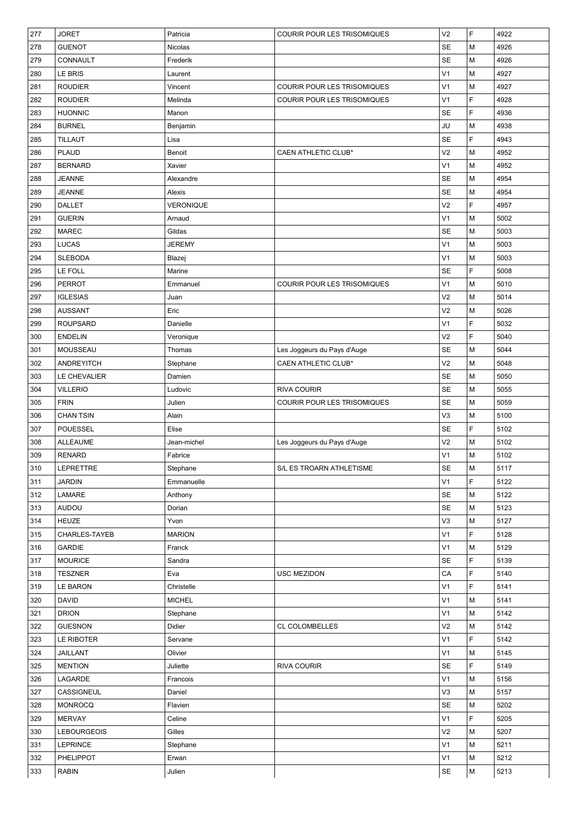| 277        | <b>JORET</b>              | Patricia          | COURIR POUR LES TRISOMIQUES | V <sub>2</sub>       | F       | 4922         |
|------------|---------------------------|-------------------|-----------------------------|----------------------|---------|--------------|
| 278        | <b>GUENOT</b>             | Nicolas           |                             | <b>SE</b>            | М       | 4926         |
| 279        | CONNAULT                  | Frederik          |                             | SE                   | М       | 4926         |
| 280        | <b>LE BRIS</b>            | Laurent           |                             | V <sub>1</sub>       | M       | 4927         |
| 281        | ROUDIER                   | Vincent           | COURIR POUR LES TRISOMIQUES | V <sub>1</sub>       | М       | 4927         |
| 282        | <b>ROUDIER</b>            | Melinda           | COURIR POUR LES TRISOMIQUES | V <sub>1</sub>       | F       | 4928         |
| 283        | <b>HUONNIC</b>            | Manon             |                             | <b>SE</b>            | F       | 4936         |
| 284        | <b>BURNEL</b>             | Benjamin          |                             | JU                   | М       | 4938         |
| 285        | <b>TILLAUT</b>            | Lisa              |                             | <b>SE</b>            | F       | 4943         |
| 286        | <b>PLAUD</b>              | Benoit            | CAEN ATHLETIC CLUB*         | V <sub>2</sub>       | M       | 4952         |
| 287        | <b>BERNARD</b>            | Xavier            |                             | V <sub>1</sub>       | M       | 4952         |
| 288        | <b>JEANNE</b>             | Alexandre         |                             | <b>SE</b>            | M       | 4954         |
| 289        | <b>JEANNE</b>             | Alexis            |                             | <b>SE</b>            | М       | 4954         |
| 290        | <b>DALLET</b>             | <b>VERONIQUE</b>  |                             | V <sub>2</sub>       | F       | 4957         |
| 291        | <b>GUERIN</b>             | Arnaud            |                             | V <sub>1</sub>       | M       | 5002         |
| 292        | <b>MAREC</b>              | Gildas            |                             | <b>SE</b>            | M       | 5003         |
| 293        | <b>LUCAS</b>              | <b>JEREMY</b>     |                             | V <sub>1</sub>       | М       | 5003         |
| 294        | <b>SLEBODA</b>            | Blazej            |                             | V <sub>1</sub>       | M       | 5003         |
| 295        | LE FOLL                   | Marine            |                             | <b>SE</b>            | F       | 5008         |
| 296        | <b>PERROT</b>             | Emmanuel          | COURIR POUR LES TRISOMIQUES | V <sub>1</sub>       | М       | 5010         |
| 297        | <b>IGLESIAS</b>           | Juan              |                             | V <sub>2</sub>       | M       | 5014         |
| 298        | <b>AUSSANT</b>            | Eric              |                             | V <sub>2</sub>       | М       | 5026         |
| 299        | <b>ROUPSARD</b>           | Danielle          |                             | V <sub>1</sub>       | F       | 5032         |
| 300        | <b>ENDELIN</b>            | Veronique         |                             | V <sub>2</sub>       | F       | 5040         |
| 301        | MOUSSEAU                  | Thomas            | Les Joggeurs du Pays d'Auge | <b>SE</b>            | М       | 5044         |
| 302        | <b>ANDREYITCH</b>         | Stephane          | CAEN ATHLETIC CLUB*         | V <sub>2</sub>       | М       | 5048         |
| 303        | LE CHEVALIER              | Damien            |                             | <b>SE</b>            | М       | 5050         |
| 304        | <b>VILLERIO</b>           | Ludovic           | <b>RIVA COURIR</b>          | <b>SE</b>            | М       | 5055         |
| 305        | <b>FRIN</b>               | Julien            | COURIR POUR LES TRISOMIQUES | <b>SE</b>            | М       | 5059         |
| 306        | <b>CHAN TSIN</b>          | Alain             |                             | V <sub>3</sub>       | M       | 5100         |
| 307        | POUESSEL                  | Elise             |                             | <b>SE</b>            | F       | 5102         |
| 308        | ALLEAUME                  | Jean-michel       | Les Joggeurs du Pays d'Auge | V <sub>2</sub>       | М       | 5102         |
| 309        | <b>RENARD</b>             | Fabrice           |                             | V <sub>1</sub>       | M       | 5102         |
| 310        | LEPRETTRE                 | Stephane          | S/L ES TROARN ATHLETISME    | SE                   | M       | 5117         |
| 311        | <b>JARDIN</b>             | Emmanuelle        |                             | V <sub>1</sub>       | F       | 5122         |
| 312        | LAMARE                    | Anthony           |                             | <b>SE</b>            | M       | 5122         |
| 313        | <b>AUDOU</b>              | Dorian            |                             | <b>SE</b>            | М       | 5123         |
| 314        | <b>HEUZE</b>              | Yvon              |                             | V3                   | M       | 5127         |
| 315        | CHARLES-TAYEB             | <b>MARION</b>     |                             | V <sub>1</sub>       | F       | 5128         |
|            | GARDIE                    |                   |                             | V <sub>1</sub>       |         | 5129         |
| 316<br>317 | <b>MOURICE</b>            | Franck<br>Sandra  |                             | <b>SE</b>            | М<br>F. | 5139         |
| 318        | <b>TESZNER</b>            |                   | <b>USC MEZIDON</b>          | CA                   | F       | 5140         |
| 319        | <b>LE BARON</b>           | Eva<br>Christelle |                             | V <sub>1</sub>       | F.      | 5141         |
| 320        | <b>DAVID</b>              | <b>MICHEL</b>     |                             | V <sub>1</sub>       | М       | 5141         |
| 321        | <b>DRION</b>              | Stephane          |                             | V <sub>1</sub>       | М       | 5142         |
| 322        | <b>GUESNON</b>            | Didier            | <b>CL COLOMBELLES</b>       | V <sub>2</sub>       | М       | 5142         |
| 323        | LE RIBOTER                |                   |                             | V <sub>1</sub>       | F       | 5142         |
|            |                           | Servane           |                             |                      |         |              |
| 324        | JAILLANT                  | Olivier           |                             | V <sub>1</sub><br>SE | М<br>F  | 5145         |
| 325        | <b>MENTION</b><br>LAGARDE | Juliette          | RIVA COURIR                 | V <sub>1</sub>       | М       | 5149<br>5156 |
| 326        |                           | Francois          |                             |                      |         |              |
| 327        | CASSIGNEUL                | Daniel            |                             | V3                   | M       | 5157         |
| 328        | <b>MONROCQ</b>            | Flavien           |                             | <b>SE</b>            | М       | 5202         |
| 329        | <b>MERVAY</b>             | Celine            |                             | V <sub>1</sub>       | F       | 5205         |
| 330        | <b>LEBOURGEOIS</b>        | Gilles            |                             | V <sub>2</sub>       | м       | 5207         |
| 331        | <b>LEPRINCE</b>           | Stephane          |                             | V <sub>1</sub>       | м       | 5211         |
| 332        | PHELIPPOT                 | Erwan             |                             | V <sub>1</sub>       | М       | 5212         |
| 333        | <b>RABIN</b>              | Julien            |                             | <b>SE</b>            | М       | 5213         |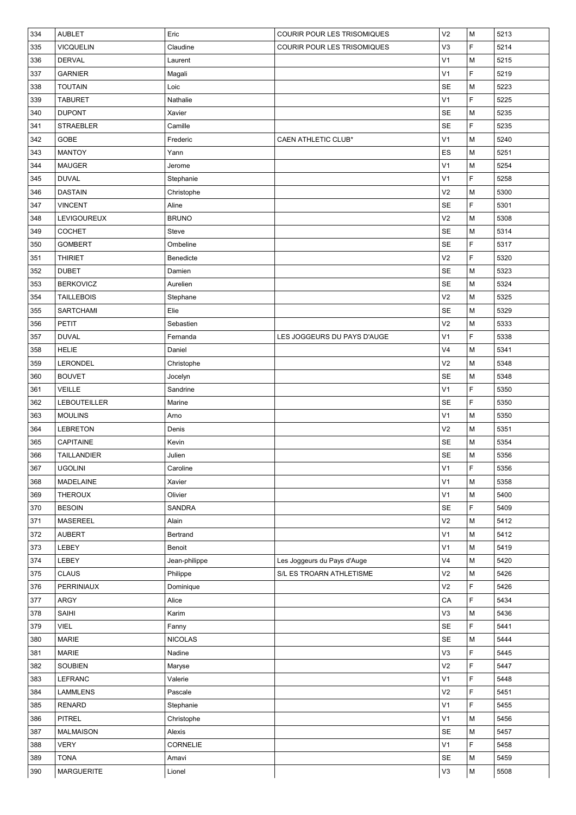| 334 | <b>AUBLET</b>       | Eric           | COURIR POUR LES TRISOMIQUES | V <sub>2</sub> | M  | 5213 |
|-----|---------------------|----------------|-----------------------------|----------------|----|------|
| 335 | <b>VICQUELIN</b>    | Claudine       | COURIR POUR LES TRISOMIQUES | V3             | F  | 5214 |
| 336 | <b>DERVAL</b>       | Laurent        |                             | V <sub>1</sub> | M  | 5215 |
| 337 | <b>GARNIER</b>      | Magali         |                             | V <sub>1</sub> | F  | 5219 |
| 338 | <b>TOUTAIN</b>      | Loic           |                             | <b>SE</b>      | M  | 5223 |
| 339 | <b>TABURET</b>      | Nathalie       |                             | V <sub>1</sub> | F  | 5225 |
| 340 | <b>DUPONT</b>       | Xavier         |                             | <b>SE</b>      | М  | 5235 |
| 341 | <b>STRAEBLER</b>    | Camille        |                             | <b>SE</b>      | F  | 5235 |
| 342 | GOBE                | Frederic       | <b>CAEN ATHLETIC CLUB*</b>  | V <sub>1</sub> | М  | 5240 |
| 343 | <b>MANTOY</b>       | Yann           |                             | ES             | М  | 5251 |
| 344 | <b>MAUGER</b>       | Jerome         |                             | V <sub>1</sub> | M  | 5254 |
| 345 | <b>DUVAL</b>        | Stephanie      |                             | V <sub>1</sub> | F  | 5258 |
| 346 | <b>DASTAIN</b>      | Christophe     |                             | V <sub>2</sub> | M  | 5300 |
| 347 | <b>VINCENT</b>      | Aline          |                             | <b>SE</b>      | F  | 5301 |
| 348 | LEVIGOUREUX         | <b>BRUNO</b>   |                             | V <sub>2</sub> | M  | 5308 |
| 349 | <b>COCHET</b>       | Steve          |                             | SE             | M  | 5314 |
| 350 | <b>GOMBERT</b>      | Ombeline       |                             | <b>SE</b>      | F  | 5317 |
| 351 | <b>THIRIET</b>      | Benedicte      |                             | V <sub>2</sub> | F  | 5320 |
| 352 | <b>DUBET</b>        | Damien         |                             | <b>SE</b>      | М  | 5323 |
| 353 | <b>BERKOVICZ</b>    | Aurelien       |                             | <b>SE</b>      | М  | 5324 |
| 354 | <b>TAILLEBOIS</b>   | Stephane       |                             | V <sub>2</sub> | M  | 5325 |
| 355 | <b>SARTCHAMI</b>    | Elie           |                             | <b>SE</b>      | M  | 5329 |
| 356 | <b>PETIT</b>        | Sebastien      |                             | V <sub>2</sub> | M  | 5333 |
| 357 | <b>DUVAL</b>        | Fernanda       | LES JOGGEURS DU PAYS D'AUGE | V <sub>1</sub> | F  | 5338 |
| 358 | <b>HELIE</b>        | Daniel         |                             | V <sub>4</sub> | М  | 5341 |
| 359 | LERONDEL            | Christophe     |                             | V <sub>2</sub> | M  | 5348 |
| 360 | <b>BOUVET</b>       | Jocelyn        |                             | <b>SE</b>      | M  | 5348 |
| 361 | <b>VEILLE</b>       | Sandrine       |                             | V <sub>1</sub> | F  | 5350 |
| 362 | <b>LEBOUTEILLER</b> | Marine         |                             | <b>SE</b>      | F  | 5350 |
| 363 | <b>MOULINS</b>      | Arno           |                             | V <sub>1</sub> | M  | 5350 |
| 364 | <b>LEBRETON</b>     | Denis          |                             | V <sub>2</sub> | M  | 5351 |
| 365 | CAPITAINE           | Kevin          |                             | <b>SE</b>      | M  | 5354 |
| 366 | <b>TAILLANDIER</b>  | Julien         |                             | <b>SE</b>      | M  | 5356 |
| 367 | <b>UGOLINI</b>      | Caroline       |                             | V <sub>1</sub> | F  | 5356 |
| 368 | MADELAINE           | Xavier         |                             | V <sub>1</sub> | М  | 5358 |
| 369 | <b>THEROUX</b>      | Olivier        |                             | V <sub>1</sub> | M  | 5400 |
| 370 | <b>BESOIN</b>       | <b>SANDRA</b>  |                             | <b>SE</b>      | F. | 5409 |
| 371 | <b>MASEREEL</b>     | Alain          |                             | V <sub>2</sub> | М  | 5412 |
| 372 | <b>AUBERT</b>       | Bertrand       |                             | V <sub>1</sub> | М  | 5412 |
| 373 | LEBEY               | Benoit         |                             | V <sub>1</sub> | М  | 5419 |
| 374 | LEBEY               | Jean-philippe  | Les Joggeurs du Pays d'Auge | V <sub>4</sub> | М  | 5420 |
| 375 | <b>CLAUS</b>        | Philippe       | S/L ES TROARN ATHLETISME    | V <sub>2</sub> | М  | 5426 |
| 376 | PERRINIAUX          | Dominique      |                             | V <sub>2</sub> | F  | 5426 |
| 377 | ARGY                | Alice          |                             | CA             | F  | 5434 |
| 378 | SAIHI               | Karim          |                             | V3             | М  | 5436 |
| 379 | <b>VIEL</b>         | Fanny          |                             | <b>SE</b>      | F  | 5441 |
| 380 | <b>MARIE</b>        | <b>NICOLAS</b> |                             | SE             | M  | 5444 |
| 381 | <b>MARIE</b>        | Nadine         |                             | V3             | F  | 5445 |
| 382 | SOUBIEN             | Maryse         |                             | V <sub>2</sub> | F  | 5447 |
| 383 | LEFRANC             | Valerie        |                             | V <sub>1</sub> | F  | 5448 |
| 384 | <b>LAMMLENS</b>     | Pascale        |                             | V <sub>2</sub> | F. | 5451 |
| 385 | <b>RENARD</b>       | Stephanie      |                             | V <sub>1</sub> | F. | 5455 |
| 386 | <b>PITREL</b>       | Christophe     |                             | V <sub>1</sub> | М  | 5456 |
| 387 | <b>MALMAISON</b>    | Alexis         |                             | <b>SE</b>      | М  | 5457 |
| 388 | <b>VERY</b>         | CORNELIE       |                             | V <sub>1</sub> | F. | 5458 |
| 389 | <b>TONA</b>         | Amavi          |                             | <b>SE</b>      | М  | 5459 |
| 390 | <b>MARGUERITE</b>   | Lionel         |                             | V3             | М  | 5508 |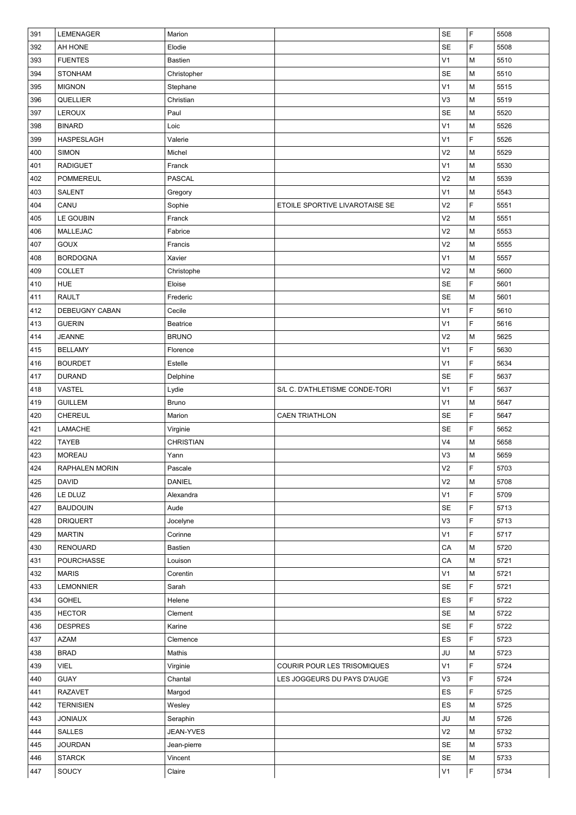| SE<br>F<br>392<br>AH HONE<br>5508<br>Elodie<br>V <sub>1</sub><br>M<br><b>FUENTES</b><br><b>Bastien</b><br>5510<br>393<br>394<br><b>SE</b><br>M<br>5510<br><b>STONHAM</b><br>Christopher<br>V <sub>1</sub><br>M<br>5515<br>395<br><b>MIGNON</b><br>Stephane<br>V3<br>5519<br>QUELLIER<br>Christian<br>M<br>396<br><b>SE</b><br>LEROUX<br>M<br>5520<br>397<br>Paul<br>V <sub>1</sub><br>M<br>5526<br>398<br><b>BINARD</b><br>Loic<br>F<br>V <sub>1</sub><br>5526<br>HASPESLAGH<br>Valerie<br>399<br>V <sub>2</sub><br>M<br>5529<br>400<br><b>SIMON</b><br>Michel<br>V <sub>1</sub><br>M<br>5530<br>401<br><b>RADIGUET</b><br>Franck<br>V <sub>2</sub><br>M<br>402<br><b>POMMEREUL</b><br><b>PASCAL</b><br>5539<br>V <sub>1</sub><br>M<br>5543<br>403<br><b>SALENT</b><br>Gregory<br>F<br>CANU<br>V <sub>2</sub><br>5551<br>404<br>Sophie<br>ETOILE SPORTIVE LIVAROTAISE SE<br>V <sub>2</sub><br>LE GOUBIN<br>M<br>5551<br>405<br>Franck<br>V <sub>2</sub><br>M<br>MALLEJAC<br>5553<br>406<br>Fabrice<br>V <sub>2</sub><br>407<br><b>GOUX</b><br>M<br>5555<br>Francis<br>V <sub>1</sub><br><b>BORDOGNA</b><br>M<br>5557<br>408<br>Xavier<br><b>COLLET</b><br>V <sub>2</sub><br>M<br>5600<br>409<br>Christophe<br>F<br><b>SE</b><br>5601<br>410<br><b>HUE</b><br>Eloise<br><b>SE</b><br>5601<br><b>RAULT</b><br>M<br>411<br>Frederic<br>F<br>V <sub>1</sub><br>5610<br>DEBEUGNY CABAN<br>Cecile<br>412<br>F<br>V <sub>1</sub><br>5616<br>413<br><b>GUERIN</b><br>Beatrice<br>V <sub>2</sub><br>M<br>5625<br>414<br><b>JEANNE</b><br><b>BRUNO</b><br>V <sub>1</sub><br>F<br>5630<br><b>BELLAMY</b><br>Florence<br>415<br>F<br>V <sub>1</sub><br>5634<br>416<br><b>BOURDET</b><br>Estelle<br>F<br><b>SE</b><br>417<br><b>DURAND</b><br>Delphine<br>5637<br>F<br>V <sub>1</sub><br>5637<br>418<br><b>VASTEL</b><br>Lydie<br>S/L C. D'ATHLETISME CONDE-TORI<br>V <sub>1</sub><br><b>GUILLEM</b><br>M<br>5647<br>419<br>Bruno<br><b>SE</b><br>F<br>CHEREUL<br>5647<br>420<br>Marion<br><b>CAEN TRIATHLON</b><br>F<br>LAMACHE<br><b>SE</b><br>5652<br>421<br>Virginie<br>V <sub>4</sub><br><b>TAYEB</b><br><b>CHRISTIAN</b><br>M<br>5658<br>422<br>V3<br>M<br>423<br><b>MOREAU</b><br>5659<br>Yann<br>F<br>V <sub>2</sub><br>5703<br>424<br><b>RAPHALEN MORIN</b><br>Pascale<br>V <sub>2</sub><br>425<br><b>DANIEL</b><br>M<br>5708<br><b>DAVID</b><br>V <sub>1</sub><br>F<br>LE DLUZ<br>Alexandra<br>5709<br>426<br>F<br><b>SE</b><br><b>BAUDOUIN</b><br>Aude<br>5713<br>427<br>F<br>V <sub>3</sub><br>5713<br>428<br><b>DRIQUERT</b><br>Jocelyne<br>F<br>V <sub>1</sub><br>5717<br>429<br><b>MARTIN</b><br>Corinne<br>CA<br>M<br>5720<br>430<br><b>RENOUARD</b><br>Bastien<br>CA<br>M<br>5721<br>431<br>POURCHASSE<br>Louison<br>V <sub>1</sub><br>M<br>432<br><b>MARIS</b><br>Corentin<br>5721<br>F<br><b>SE</b><br>5721<br>433<br><b>LEMONNIER</b><br>Sarah<br>F<br><b>GOHEL</b><br>ES<br>5722<br>434<br>Helene<br><b>HECTOR</b><br><b>SE</b><br>M<br>5722<br>435<br>Clement<br>F<br><b>DESPRES</b><br><b>SE</b><br>5722<br>436<br>Karine<br>F<br>437<br>ES<br>5723<br><b>AZAM</b><br>Clemence<br>JU<br><b>BRAD</b><br>M<br>5723<br>438<br>Mathis<br>V <sub>1</sub><br>F<br><b>VIEL</b><br>5724<br>439<br>COURIR POUR LES TRISOMIQUES<br>Virginie<br>F<br>V <sub>3</sub><br>5724<br>440<br><b>GUAY</b><br>Chantal<br>LES JOGGEURS DU PAYS D'AUGE<br>F<br>ES<br>5725<br><b>RAZAVET</b><br>Margod<br>441<br><b>TERNISIEN</b><br>Wesley<br>ES<br>M<br>5725<br>442<br>JU<br>M<br>5726<br><b>JONIAUX</b><br>Seraphin<br>443<br>V <sub>2</sub><br>M<br>5732<br>444<br><b>SALLES</b><br>JEAN-YVES<br><b>JOURDAN</b><br><b>SE</b><br>5733<br>445<br>M<br>Jean-pierre<br><b>STARCK</b><br><b>SE</b><br>M<br>5733<br>446<br>Vincent | 391 | LEMENAGER | Marion | <b>SE</b>      | F | 5508 |
|---------------------------------------------------------------------------------------------------------------------------------------------------------------------------------------------------------------------------------------------------------------------------------------------------------------------------------------------------------------------------------------------------------------------------------------------------------------------------------------------------------------------------------------------------------------------------------------------------------------------------------------------------------------------------------------------------------------------------------------------------------------------------------------------------------------------------------------------------------------------------------------------------------------------------------------------------------------------------------------------------------------------------------------------------------------------------------------------------------------------------------------------------------------------------------------------------------------------------------------------------------------------------------------------------------------------------------------------------------------------------------------------------------------------------------------------------------------------------------------------------------------------------------------------------------------------------------------------------------------------------------------------------------------------------------------------------------------------------------------------------------------------------------------------------------------------------------------------------------------------------------------------------------------------------------------------------------------------------------------------------------------------------------------------------------------------------------------------------------------------------------------------------------------------------------------------------------------------------------------------------------------------------------------------------------------------------------------------------------------------------------------------------------------------------------------------------------------------------------------------------------------------------------------------------------------------------------------------------------------------------------------------------------------------------------------------------------------------------------------------------------------------------------------------------------------------------------------------------------------------------------------------------------------------------------------------------------------------------------------------------------------------------------------------------------------------------------------------------------------------------------------------------------------------------------------------------------------------------------------------------------------------------------------------------------------------------------------------------------------------------------------------------------------------------------------------------------------------------------------------------------------------------------------------------------------------------------------------------------------------------------------------------------------------------------------------------------------------|-----|-----------|--------|----------------|---|------|
|                                                                                                                                                                                                                                                                                                                                                                                                                                                                                                                                                                                                                                                                                                                                                                                                                                                                                                                                                                                                                                                                                                                                                                                                                                                                                                                                                                                                                                                                                                                                                                                                                                                                                                                                                                                                                                                                                                                                                                                                                                                                                                                                                                                                                                                                                                                                                                                                                                                                                                                                                                                                                                                                                                                                                                                                                                                                                                                                                                                                                                                                                                                                                                                                                                                                                                                                                                                                                                                                                                                                                                                                                                                                                                                     |     |           |        |                |   |      |
|                                                                                                                                                                                                                                                                                                                                                                                                                                                                                                                                                                                                                                                                                                                                                                                                                                                                                                                                                                                                                                                                                                                                                                                                                                                                                                                                                                                                                                                                                                                                                                                                                                                                                                                                                                                                                                                                                                                                                                                                                                                                                                                                                                                                                                                                                                                                                                                                                                                                                                                                                                                                                                                                                                                                                                                                                                                                                                                                                                                                                                                                                                                                                                                                                                                                                                                                                                                                                                                                                                                                                                                                                                                                                                                     |     |           |        |                |   |      |
|                                                                                                                                                                                                                                                                                                                                                                                                                                                                                                                                                                                                                                                                                                                                                                                                                                                                                                                                                                                                                                                                                                                                                                                                                                                                                                                                                                                                                                                                                                                                                                                                                                                                                                                                                                                                                                                                                                                                                                                                                                                                                                                                                                                                                                                                                                                                                                                                                                                                                                                                                                                                                                                                                                                                                                                                                                                                                                                                                                                                                                                                                                                                                                                                                                                                                                                                                                                                                                                                                                                                                                                                                                                                                                                     |     |           |        |                |   |      |
|                                                                                                                                                                                                                                                                                                                                                                                                                                                                                                                                                                                                                                                                                                                                                                                                                                                                                                                                                                                                                                                                                                                                                                                                                                                                                                                                                                                                                                                                                                                                                                                                                                                                                                                                                                                                                                                                                                                                                                                                                                                                                                                                                                                                                                                                                                                                                                                                                                                                                                                                                                                                                                                                                                                                                                                                                                                                                                                                                                                                                                                                                                                                                                                                                                                                                                                                                                                                                                                                                                                                                                                                                                                                                                                     |     |           |        |                |   |      |
|                                                                                                                                                                                                                                                                                                                                                                                                                                                                                                                                                                                                                                                                                                                                                                                                                                                                                                                                                                                                                                                                                                                                                                                                                                                                                                                                                                                                                                                                                                                                                                                                                                                                                                                                                                                                                                                                                                                                                                                                                                                                                                                                                                                                                                                                                                                                                                                                                                                                                                                                                                                                                                                                                                                                                                                                                                                                                                                                                                                                                                                                                                                                                                                                                                                                                                                                                                                                                                                                                                                                                                                                                                                                                                                     |     |           |        |                |   |      |
|                                                                                                                                                                                                                                                                                                                                                                                                                                                                                                                                                                                                                                                                                                                                                                                                                                                                                                                                                                                                                                                                                                                                                                                                                                                                                                                                                                                                                                                                                                                                                                                                                                                                                                                                                                                                                                                                                                                                                                                                                                                                                                                                                                                                                                                                                                                                                                                                                                                                                                                                                                                                                                                                                                                                                                                                                                                                                                                                                                                                                                                                                                                                                                                                                                                                                                                                                                                                                                                                                                                                                                                                                                                                                                                     |     |           |        |                |   |      |
|                                                                                                                                                                                                                                                                                                                                                                                                                                                                                                                                                                                                                                                                                                                                                                                                                                                                                                                                                                                                                                                                                                                                                                                                                                                                                                                                                                                                                                                                                                                                                                                                                                                                                                                                                                                                                                                                                                                                                                                                                                                                                                                                                                                                                                                                                                                                                                                                                                                                                                                                                                                                                                                                                                                                                                                                                                                                                                                                                                                                                                                                                                                                                                                                                                                                                                                                                                                                                                                                                                                                                                                                                                                                                                                     |     |           |        |                |   |      |
|                                                                                                                                                                                                                                                                                                                                                                                                                                                                                                                                                                                                                                                                                                                                                                                                                                                                                                                                                                                                                                                                                                                                                                                                                                                                                                                                                                                                                                                                                                                                                                                                                                                                                                                                                                                                                                                                                                                                                                                                                                                                                                                                                                                                                                                                                                                                                                                                                                                                                                                                                                                                                                                                                                                                                                                                                                                                                                                                                                                                                                                                                                                                                                                                                                                                                                                                                                                                                                                                                                                                                                                                                                                                                                                     |     |           |        |                |   |      |
|                                                                                                                                                                                                                                                                                                                                                                                                                                                                                                                                                                                                                                                                                                                                                                                                                                                                                                                                                                                                                                                                                                                                                                                                                                                                                                                                                                                                                                                                                                                                                                                                                                                                                                                                                                                                                                                                                                                                                                                                                                                                                                                                                                                                                                                                                                                                                                                                                                                                                                                                                                                                                                                                                                                                                                                                                                                                                                                                                                                                                                                                                                                                                                                                                                                                                                                                                                                                                                                                                                                                                                                                                                                                                                                     |     |           |        |                |   |      |
|                                                                                                                                                                                                                                                                                                                                                                                                                                                                                                                                                                                                                                                                                                                                                                                                                                                                                                                                                                                                                                                                                                                                                                                                                                                                                                                                                                                                                                                                                                                                                                                                                                                                                                                                                                                                                                                                                                                                                                                                                                                                                                                                                                                                                                                                                                                                                                                                                                                                                                                                                                                                                                                                                                                                                                                                                                                                                                                                                                                                                                                                                                                                                                                                                                                                                                                                                                                                                                                                                                                                                                                                                                                                                                                     |     |           |        |                |   |      |
|                                                                                                                                                                                                                                                                                                                                                                                                                                                                                                                                                                                                                                                                                                                                                                                                                                                                                                                                                                                                                                                                                                                                                                                                                                                                                                                                                                                                                                                                                                                                                                                                                                                                                                                                                                                                                                                                                                                                                                                                                                                                                                                                                                                                                                                                                                                                                                                                                                                                                                                                                                                                                                                                                                                                                                                                                                                                                                                                                                                                                                                                                                                                                                                                                                                                                                                                                                                                                                                                                                                                                                                                                                                                                                                     |     |           |        |                |   |      |
|                                                                                                                                                                                                                                                                                                                                                                                                                                                                                                                                                                                                                                                                                                                                                                                                                                                                                                                                                                                                                                                                                                                                                                                                                                                                                                                                                                                                                                                                                                                                                                                                                                                                                                                                                                                                                                                                                                                                                                                                                                                                                                                                                                                                                                                                                                                                                                                                                                                                                                                                                                                                                                                                                                                                                                                                                                                                                                                                                                                                                                                                                                                                                                                                                                                                                                                                                                                                                                                                                                                                                                                                                                                                                                                     |     |           |        |                |   |      |
|                                                                                                                                                                                                                                                                                                                                                                                                                                                                                                                                                                                                                                                                                                                                                                                                                                                                                                                                                                                                                                                                                                                                                                                                                                                                                                                                                                                                                                                                                                                                                                                                                                                                                                                                                                                                                                                                                                                                                                                                                                                                                                                                                                                                                                                                                                                                                                                                                                                                                                                                                                                                                                                                                                                                                                                                                                                                                                                                                                                                                                                                                                                                                                                                                                                                                                                                                                                                                                                                                                                                                                                                                                                                                                                     |     |           |        |                |   |      |
|                                                                                                                                                                                                                                                                                                                                                                                                                                                                                                                                                                                                                                                                                                                                                                                                                                                                                                                                                                                                                                                                                                                                                                                                                                                                                                                                                                                                                                                                                                                                                                                                                                                                                                                                                                                                                                                                                                                                                                                                                                                                                                                                                                                                                                                                                                                                                                                                                                                                                                                                                                                                                                                                                                                                                                                                                                                                                                                                                                                                                                                                                                                                                                                                                                                                                                                                                                                                                                                                                                                                                                                                                                                                                                                     |     |           |        |                |   |      |
|                                                                                                                                                                                                                                                                                                                                                                                                                                                                                                                                                                                                                                                                                                                                                                                                                                                                                                                                                                                                                                                                                                                                                                                                                                                                                                                                                                                                                                                                                                                                                                                                                                                                                                                                                                                                                                                                                                                                                                                                                                                                                                                                                                                                                                                                                                                                                                                                                                                                                                                                                                                                                                                                                                                                                                                                                                                                                                                                                                                                                                                                                                                                                                                                                                                                                                                                                                                                                                                                                                                                                                                                                                                                                                                     |     |           |        |                |   |      |
|                                                                                                                                                                                                                                                                                                                                                                                                                                                                                                                                                                                                                                                                                                                                                                                                                                                                                                                                                                                                                                                                                                                                                                                                                                                                                                                                                                                                                                                                                                                                                                                                                                                                                                                                                                                                                                                                                                                                                                                                                                                                                                                                                                                                                                                                                                                                                                                                                                                                                                                                                                                                                                                                                                                                                                                                                                                                                                                                                                                                                                                                                                                                                                                                                                                                                                                                                                                                                                                                                                                                                                                                                                                                                                                     |     |           |        |                |   |      |
|                                                                                                                                                                                                                                                                                                                                                                                                                                                                                                                                                                                                                                                                                                                                                                                                                                                                                                                                                                                                                                                                                                                                                                                                                                                                                                                                                                                                                                                                                                                                                                                                                                                                                                                                                                                                                                                                                                                                                                                                                                                                                                                                                                                                                                                                                                                                                                                                                                                                                                                                                                                                                                                                                                                                                                                                                                                                                                                                                                                                                                                                                                                                                                                                                                                                                                                                                                                                                                                                                                                                                                                                                                                                                                                     |     |           |        |                |   |      |
|                                                                                                                                                                                                                                                                                                                                                                                                                                                                                                                                                                                                                                                                                                                                                                                                                                                                                                                                                                                                                                                                                                                                                                                                                                                                                                                                                                                                                                                                                                                                                                                                                                                                                                                                                                                                                                                                                                                                                                                                                                                                                                                                                                                                                                                                                                                                                                                                                                                                                                                                                                                                                                                                                                                                                                                                                                                                                                                                                                                                                                                                                                                                                                                                                                                                                                                                                                                                                                                                                                                                                                                                                                                                                                                     |     |           |        |                |   |      |
|                                                                                                                                                                                                                                                                                                                                                                                                                                                                                                                                                                                                                                                                                                                                                                                                                                                                                                                                                                                                                                                                                                                                                                                                                                                                                                                                                                                                                                                                                                                                                                                                                                                                                                                                                                                                                                                                                                                                                                                                                                                                                                                                                                                                                                                                                                                                                                                                                                                                                                                                                                                                                                                                                                                                                                                                                                                                                                                                                                                                                                                                                                                                                                                                                                                                                                                                                                                                                                                                                                                                                                                                                                                                                                                     |     |           |        |                |   |      |
|                                                                                                                                                                                                                                                                                                                                                                                                                                                                                                                                                                                                                                                                                                                                                                                                                                                                                                                                                                                                                                                                                                                                                                                                                                                                                                                                                                                                                                                                                                                                                                                                                                                                                                                                                                                                                                                                                                                                                                                                                                                                                                                                                                                                                                                                                                                                                                                                                                                                                                                                                                                                                                                                                                                                                                                                                                                                                                                                                                                                                                                                                                                                                                                                                                                                                                                                                                                                                                                                                                                                                                                                                                                                                                                     |     |           |        |                |   |      |
|                                                                                                                                                                                                                                                                                                                                                                                                                                                                                                                                                                                                                                                                                                                                                                                                                                                                                                                                                                                                                                                                                                                                                                                                                                                                                                                                                                                                                                                                                                                                                                                                                                                                                                                                                                                                                                                                                                                                                                                                                                                                                                                                                                                                                                                                                                                                                                                                                                                                                                                                                                                                                                                                                                                                                                                                                                                                                                                                                                                                                                                                                                                                                                                                                                                                                                                                                                                                                                                                                                                                                                                                                                                                                                                     |     |           |        |                |   |      |
|                                                                                                                                                                                                                                                                                                                                                                                                                                                                                                                                                                                                                                                                                                                                                                                                                                                                                                                                                                                                                                                                                                                                                                                                                                                                                                                                                                                                                                                                                                                                                                                                                                                                                                                                                                                                                                                                                                                                                                                                                                                                                                                                                                                                                                                                                                                                                                                                                                                                                                                                                                                                                                                                                                                                                                                                                                                                                                                                                                                                                                                                                                                                                                                                                                                                                                                                                                                                                                                                                                                                                                                                                                                                                                                     |     |           |        |                |   |      |
|                                                                                                                                                                                                                                                                                                                                                                                                                                                                                                                                                                                                                                                                                                                                                                                                                                                                                                                                                                                                                                                                                                                                                                                                                                                                                                                                                                                                                                                                                                                                                                                                                                                                                                                                                                                                                                                                                                                                                                                                                                                                                                                                                                                                                                                                                                                                                                                                                                                                                                                                                                                                                                                                                                                                                                                                                                                                                                                                                                                                                                                                                                                                                                                                                                                                                                                                                                                                                                                                                                                                                                                                                                                                                                                     |     |           |        |                |   |      |
|                                                                                                                                                                                                                                                                                                                                                                                                                                                                                                                                                                                                                                                                                                                                                                                                                                                                                                                                                                                                                                                                                                                                                                                                                                                                                                                                                                                                                                                                                                                                                                                                                                                                                                                                                                                                                                                                                                                                                                                                                                                                                                                                                                                                                                                                                                                                                                                                                                                                                                                                                                                                                                                                                                                                                                                                                                                                                                                                                                                                                                                                                                                                                                                                                                                                                                                                                                                                                                                                                                                                                                                                                                                                                                                     |     |           |        |                |   |      |
|                                                                                                                                                                                                                                                                                                                                                                                                                                                                                                                                                                                                                                                                                                                                                                                                                                                                                                                                                                                                                                                                                                                                                                                                                                                                                                                                                                                                                                                                                                                                                                                                                                                                                                                                                                                                                                                                                                                                                                                                                                                                                                                                                                                                                                                                                                                                                                                                                                                                                                                                                                                                                                                                                                                                                                                                                                                                                                                                                                                                                                                                                                                                                                                                                                                                                                                                                                                                                                                                                                                                                                                                                                                                                                                     |     |           |        |                |   |      |
|                                                                                                                                                                                                                                                                                                                                                                                                                                                                                                                                                                                                                                                                                                                                                                                                                                                                                                                                                                                                                                                                                                                                                                                                                                                                                                                                                                                                                                                                                                                                                                                                                                                                                                                                                                                                                                                                                                                                                                                                                                                                                                                                                                                                                                                                                                                                                                                                                                                                                                                                                                                                                                                                                                                                                                                                                                                                                                                                                                                                                                                                                                                                                                                                                                                                                                                                                                                                                                                                                                                                                                                                                                                                                                                     |     |           |        |                |   |      |
|                                                                                                                                                                                                                                                                                                                                                                                                                                                                                                                                                                                                                                                                                                                                                                                                                                                                                                                                                                                                                                                                                                                                                                                                                                                                                                                                                                                                                                                                                                                                                                                                                                                                                                                                                                                                                                                                                                                                                                                                                                                                                                                                                                                                                                                                                                                                                                                                                                                                                                                                                                                                                                                                                                                                                                                                                                                                                                                                                                                                                                                                                                                                                                                                                                                                                                                                                                                                                                                                                                                                                                                                                                                                                                                     |     |           |        |                |   |      |
|                                                                                                                                                                                                                                                                                                                                                                                                                                                                                                                                                                                                                                                                                                                                                                                                                                                                                                                                                                                                                                                                                                                                                                                                                                                                                                                                                                                                                                                                                                                                                                                                                                                                                                                                                                                                                                                                                                                                                                                                                                                                                                                                                                                                                                                                                                                                                                                                                                                                                                                                                                                                                                                                                                                                                                                                                                                                                                                                                                                                                                                                                                                                                                                                                                                                                                                                                                                                                                                                                                                                                                                                                                                                                                                     |     |           |        |                |   |      |
|                                                                                                                                                                                                                                                                                                                                                                                                                                                                                                                                                                                                                                                                                                                                                                                                                                                                                                                                                                                                                                                                                                                                                                                                                                                                                                                                                                                                                                                                                                                                                                                                                                                                                                                                                                                                                                                                                                                                                                                                                                                                                                                                                                                                                                                                                                                                                                                                                                                                                                                                                                                                                                                                                                                                                                                                                                                                                                                                                                                                                                                                                                                                                                                                                                                                                                                                                                                                                                                                                                                                                                                                                                                                                                                     |     |           |        |                |   |      |
|                                                                                                                                                                                                                                                                                                                                                                                                                                                                                                                                                                                                                                                                                                                                                                                                                                                                                                                                                                                                                                                                                                                                                                                                                                                                                                                                                                                                                                                                                                                                                                                                                                                                                                                                                                                                                                                                                                                                                                                                                                                                                                                                                                                                                                                                                                                                                                                                                                                                                                                                                                                                                                                                                                                                                                                                                                                                                                                                                                                                                                                                                                                                                                                                                                                                                                                                                                                                                                                                                                                                                                                                                                                                                                                     |     |           |        |                |   |      |
|                                                                                                                                                                                                                                                                                                                                                                                                                                                                                                                                                                                                                                                                                                                                                                                                                                                                                                                                                                                                                                                                                                                                                                                                                                                                                                                                                                                                                                                                                                                                                                                                                                                                                                                                                                                                                                                                                                                                                                                                                                                                                                                                                                                                                                                                                                                                                                                                                                                                                                                                                                                                                                                                                                                                                                                                                                                                                                                                                                                                                                                                                                                                                                                                                                                                                                                                                                                                                                                                                                                                                                                                                                                                                                                     |     |           |        |                |   |      |
|                                                                                                                                                                                                                                                                                                                                                                                                                                                                                                                                                                                                                                                                                                                                                                                                                                                                                                                                                                                                                                                                                                                                                                                                                                                                                                                                                                                                                                                                                                                                                                                                                                                                                                                                                                                                                                                                                                                                                                                                                                                                                                                                                                                                                                                                                                                                                                                                                                                                                                                                                                                                                                                                                                                                                                                                                                                                                                                                                                                                                                                                                                                                                                                                                                                                                                                                                                                                                                                                                                                                                                                                                                                                                                                     |     |           |        |                |   |      |
|                                                                                                                                                                                                                                                                                                                                                                                                                                                                                                                                                                                                                                                                                                                                                                                                                                                                                                                                                                                                                                                                                                                                                                                                                                                                                                                                                                                                                                                                                                                                                                                                                                                                                                                                                                                                                                                                                                                                                                                                                                                                                                                                                                                                                                                                                                                                                                                                                                                                                                                                                                                                                                                                                                                                                                                                                                                                                                                                                                                                                                                                                                                                                                                                                                                                                                                                                                                                                                                                                                                                                                                                                                                                                                                     |     |           |        |                |   |      |
|                                                                                                                                                                                                                                                                                                                                                                                                                                                                                                                                                                                                                                                                                                                                                                                                                                                                                                                                                                                                                                                                                                                                                                                                                                                                                                                                                                                                                                                                                                                                                                                                                                                                                                                                                                                                                                                                                                                                                                                                                                                                                                                                                                                                                                                                                                                                                                                                                                                                                                                                                                                                                                                                                                                                                                                                                                                                                                                                                                                                                                                                                                                                                                                                                                                                                                                                                                                                                                                                                                                                                                                                                                                                                                                     |     |           |        |                |   |      |
|                                                                                                                                                                                                                                                                                                                                                                                                                                                                                                                                                                                                                                                                                                                                                                                                                                                                                                                                                                                                                                                                                                                                                                                                                                                                                                                                                                                                                                                                                                                                                                                                                                                                                                                                                                                                                                                                                                                                                                                                                                                                                                                                                                                                                                                                                                                                                                                                                                                                                                                                                                                                                                                                                                                                                                                                                                                                                                                                                                                                                                                                                                                                                                                                                                                                                                                                                                                                                                                                                                                                                                                                                                                                                                                     |     |           |        |                |   |      |
|                                                                                                                                                                                                                                                                                                                                                                                                                                                                                                                                                                                                                                                                                                                                                                                                                                                                                                                                                                                                                                                                                                                                                                                                                                                                                                                                                                                                                                                                                                                                                                                                                                                                                                                                                                                                                                                                                                                                                                                                                                                                                                                                                                                                                                                                                                                                                                                                                                                                                                                                                                                                                                                                                                                                                                                                                                                                                                                                                                                                                                                                                                                                                                                                                                                                                                                                                                                                                                                                                                                                                                                                                                                                                                                     |     |           |        |                |   |      |
|                                                                                                                                                                                                                                                                                                                                                                                                                                                                                                                                                                                                                                                                                                                                                                                                                                                                                                                                                                                                                                                                                                                                                                                                                                                                                                                                                                                                                                                                                                                                                                                                                                                                                                                                                                                                                                                                                                                                                                                                                                                                                                                                                                                                                                                                                                                                                                                                                                                                                                                                                                                                                                                                                                                                                                                                                                                                                                                                                                                                                                                                                                                                                                                                                                                                                                                                                                                                                                                                                                                                                                                                                                                                                                                     |     |           |        |                |   |      |
|                                                                                                                                                                                                                                                                                                                                                                                                                                                                                                                                                                                                                                                                                                                                                                                                                                                                                                                                                                                                                                                                                                                                                                                                                                                                                                                                                                                                                                                                                                                                                                                                                                                                                                                                                                                                                                                                                                                                                                                                                                                                                                                                                                                                                                                                                                                                                                                                                                                                                                                                                                                                                                                                                                                                                                                                                                                                                                                                                                                                                                                                                                                                                                                                                                                                                                                                                                                                                                                                                                                                                                                                                                                                                                                     |     |           |        |                |   |      |
|                                                                                                                                                                                                                                                                                                                                                                                                                                                                                                                                                                                                                                                                                                                                                                                                                                                                                                                                                                                                                                                                                                                                                                                                                                                                                                                                                                                                                                                                                                                                                                                                                                                                                                                                                                                                                                                                                                                                                                                                                                                                                                                                                                                                                                                                                                                                                                                                                                                                                                                                                                                                                                                                                                                                                                                                                                                                                                                                                                                                                                                                                                                                                                                                                                                                                                                                                                                                                                                                                                                                                                                                                                                                                                                     |     |           |        |                |   |      |
|                                                                                                                                                                                                                                                                                                                                                                                                                                                                                                                                                                                                                                                                                                                                                                                                                                                                                                                                                                                                                                                                                                                                                                                                                                                                                                                                                                                                                                                                                                                                                                                                                                                                                                                                                                                                                                                                                                                                                                                                                                                                                                                                                                                                                                                                                                                                                                                                                                                                                                                                                                                                                                                                                                                                                                                                                                                                                                                                                                                                                                                                                                                                                                                                                                                                                                                                                                                                                                                                                                                                                                                                                                                                                                                     |     |           |        |                |   |      |
|                                                                                                                                                                                                                                                                                                                                                                                                                                                                                                                                                                                                                                                                                                                                                                                                                                                                                                                                                                                                                                                                                                                                                                                                                                                                                                                                                                                                                                                                                                                                                                                                                                                                                                                                                                                                                                                                                                                                                                                                                                                                                                                                                                                                                                                                                                                                                                                                                                                                                                                                                                                                                                                                                                                                                                                                                                                                                                                                                                                                                                                                                                                                                                                                                                                                                                                                                                                                                                                                                                                                                                                                                                                                                                                     |     |           |        |                |   |      |
|                                                                                                                                                                                                                                                                                                                                                                                                                                                                                                                                                                                                                                                                                                                                                                                                                                                                                                                                                                                                                                                                                                                                                                                                                                                                                                                                                                                                                                                                                                                                                                                                                                                                                                                                                                                                                                                                                                                                                                                                                                                                                                                                                                                                                                                                                                                                                                                                                                                                                                                                                                                                                                                                                                                                                                                                                                                                                                                                                                                                                                                                                                                                                                                                                                                                                                                                                                                                                                                                                                                                                                                                                                                                                                                     |     |           |        |                |   |      |
|                                                                                                                                                                                                                                                                                                                                                                                                                                                                                                                                                                                                                                                                                                                                                                                                                                                                                                                                                                                                                                                                                                                                                                                                                                                                                                                                                                                                                                                                                                                                                                                                                                                                                                                                                                                                                                                                                                                                                                                                                                                                                                                                                                                                                                                                                                                                                                                                                                                                                                                                                                                                                                                                                                                                                                                                                                                                                                                                                                                                                                                                                                                                                                                                                                                                                                                                                                                                                                                                                                                                                                                                                                                                                                                     |     |           |        |                |   |      |
|                                                                                                                                                                                                                                                                                                                                                                                                                                                                                                                                                                                                                                                                                                                                                                                                                                                                                                                                                                                                                                                                                                                                                                                                                                                                                                                                                                                                                                                                                                                                                                                                                                                                                                                                                                                                                                                                                                                                                                                                                                                                                                                                                                                                                                                                                                                                                                                                                                                                                                                                                                                                                                                                                                                                                                                                                                                                                                                                                                                                                                                                                                                                                                                                                                                                                                                                                                                                                                                                                                                                                                                                                                                                                                                     |     |           |        |                |   |      |
|                                                                                                                                                                                                                                                                                                                                                                                                                                                                                                                                                                                                                                                                                                                                                                                                                                                                                                                                                                                                                                                                                                                                                                                                                                                                                                                                                                                                                                                                                                                                                                                                                                                                                                                                                                                                                                                                                                                                                                                                                                                                                                                                                                                                                                                                                                                                                                                                                                                                                                                                                                                                                                                                                                                                                                                                                                                                                                                                                                                                                                                                                                                                                                                                                                                                                                                                                                                                                                                                                                                                                                                                                                                                                                                     |     |           |        |                |   |      |
|                                                                                                                                                                                                                                                                                                                                                                                                                                                                                                                                                                                                                                                                                                                                                                                                                                                                                                                                                                                                                                                                                                                                                                                                                                                                                                                                                                                                                                                                                                                                                                                                                                                                                                                                                                                                                                                                                                                                                                                                                                                                                                                                                                                                                                                                                                                                                                                                                                                                                                                                                                                                                                                                                                                                                                                                                                                                                                                                                                                                                                                                                                                                                                                                                                                                                                                                                                                                                                                                                                                                                                                                                                                                                                                     |     |           |        |                |   |      |
|                                                                                                                                                                                                                                                                                                                                                                                                                                                                                                                                                                                                                                                                                                                                                                                                                                                                                                                                                                                                                                                                                                                                                                                                                                                                                                                                                                                                                                                                                                                                                                                                                                                                                                                                                                                                                                                                                                                                                                                                                                                                                                                                                                                                                                                                                                                                                                                                                                                                                                                                                                                                                                                                                                                                                                                                                                                                                                                                                                                                                                                                                                                                                                                                                                                                                                                                                                                                                                                                                                                                                                                                                                                                                                                     |     |           |        |                |   |      |
|                                                                                                                                                                                                                                                                                                                                                                                                                                                                                                                                                                                                                                                                                                                                                                                                                                                                                                                                                                                                                                                                                                                                                                                                                                                                                                                                                                                                                                                                                                                                                                                                                                                                                                                                                                                                                                                                                                                                                                                                                                                                                                                                                                                                                                                                                                                                                                                                                                                                                                                                                                                                                                                                                                                                                                                                                                                                                                                                                                                                                                                                                                                                                                                                                                                                                                                                                                                                                                                                                                                                                                                                                                                                                                                     |     |           |        |                |   |      |
|                                                                                                                                                                                                                                                                                                                                                                                                                                                                                                                                                                                                                                                                                                                                                                                                                                                                                                                                                                                                                                                                                                                                                                                                                                                                                                                                                                                                                                                                                                                                                                                                                                                                                                                                                                                                                                                                                                                                                                                                                                                                                                                                                                                                                                                                                                                                                                                                                                                                                                                                                                                                                                                                                                                                                                                                                                                                                                                                                                                                                                                                                                                                                                                                                                                                                                                                                                                                                                                                                                                                                                                                                                                                                                                     |     |           |        |                |   |      |
|                                                                                                                                                                                                                                                                                                                                                                                                                                                                                                                                                                                                                                                                                                                                                                                                                                                                                                                                                                                                                                                                                                                                                                                                                                                                                                                                                                                                                                                                                                                                                                                                                                                                                                                                                                                                                                                                                                                                                                                                                                                                                                                                                                                                                                                                                                                                                                                                                                                                                                                                                                                                                                                                                                                                                                                                                                                                                                                                                                                                                                                                                                                                                                                                                                                                                                                                                                                                                                                                                                                                                                                                                                                                                                                     |     |           |        |                |   |      |
|                                                                                                                                                                                                                                                                                                                                                                                                                                                                                                                                                                                                                                                                                                                                                                                                                                                                                                                                                                                                                                                                                                                                                                                                                                                                                                                                                                                                                                                                                                                                                                                                                                                                                                                                                                                                                                                                                                                                                                                                                                                                                                                                                                                                                                                                                                                                                                                                                                                                                                                                                                                                                                                                                                                                                                                                                                                                                                                                                                                                                                                                                                                                                                                                                                                                                                                                                                                                                                                                                                                                                                                                                                                                                                                     |     |           |        |                |   |      |
|                                                                                                                                                                                                                                                                                                                                                                                                                                                                                                                                                                                                                                                                                                                                                                                                                                                                                                                                                                                                                                                                                                                                                                                                                                                                                                                                                                                                                                                                                                                                                                                                                                                                                                                                                                                                                                                                                                                                                                                                                                                                                                                                                                                                                                                                                                                                                                                                                                                                                                                                                                                                                                                                                                                                                                                                                                                                                                                                                                                                                                                                                                                                                                                                                                                                                                                                                                                                                                                                                                                                                                                                                                                                                                                     |     |           |        |                |   |      |
|                                                                                                                                                                                                                                                                                                                                                                                                                                                                                                                                                                                                                                                                                                                                                                                                                                                                                                                                                                                                                                                                                                                                                                                                                                                                                                                                                                                                                                                                                                                                                                                                                                                                                                                                                                                                                                                                                                                                                                                                                                                                                                                                                                                                                                                                                                                                                                                                                                                                                                                                                                                                                                                                                                                                                                                                                                                                                                                                                                                                                                                                                                                                                                                                                                                                                                                                                                                                                                                                                                                                                                                                                                                                                                                     |     |           |        |                |   |      |
|                                                                                                                                                                                                                                                                                                                                                                                                                                                                                                                                                                                                                                                                                                                                                                                                                                                                                                                                                                                                                                                                                                                                                                                                                                                                                                                                                                                                                                                                                                                                                                                                                                                                                                                                                                                                                                                                                                                                                                                                                                                                                                                                                                                                                                                                                                                                                                                                                                                                                                                                                                                                                                                                                                                                                                                                                                                                                                                                                                                                                                                                                                                                                                                                                                                                                                                                                                                                                                                                                                                                                                                                                                                                                                                     |     |           |        |                |   |      |
|                                                                                                                                                                                                                                                                                                                                                                                                                                                                                                                                                                                                                                                                                                                                                                                                                                                                                                                                                                                                                                                                                                                                                                                                                                                                                                                                                                                                                                                                                                                                                                                                                                                                                                                                                                                                                                                                                                                                                                                                                                                                                                                                                                                                                                                                                                                                                                                                                                                                                                                                                                                                                                                                                                                                                                                                                                                                                                                                                                                                                                                                                                                                                                                                                                                                                                                                                                                                                                                                                                                                                                                                                                                                                                                     |     |           |        |                |   |      |
|                                                                                                                                                                                                                                                                                                                                                                                                                                                                                                                                                                                                                                                                                                                                                                                                                                                                                                                                                                                                                                                                                                                                                                                                                                                                                                                                                                                                                                                                                                                                                                                                                                                                                                                                                                                                                                                                                                                                                                                                                                                                                                                                                                                                                                                                                                                                                                                                                                                                                                                                                                                                                                                                                                                                                                                                                                                                                                                                                                                                                                                                                                                                                                                                                                                                                                                                                                                                                                                                                                                                                                                                                                                                                                                     | 447 | SOUCY     | Claire | V <sub>1</sub> | F | 5734 |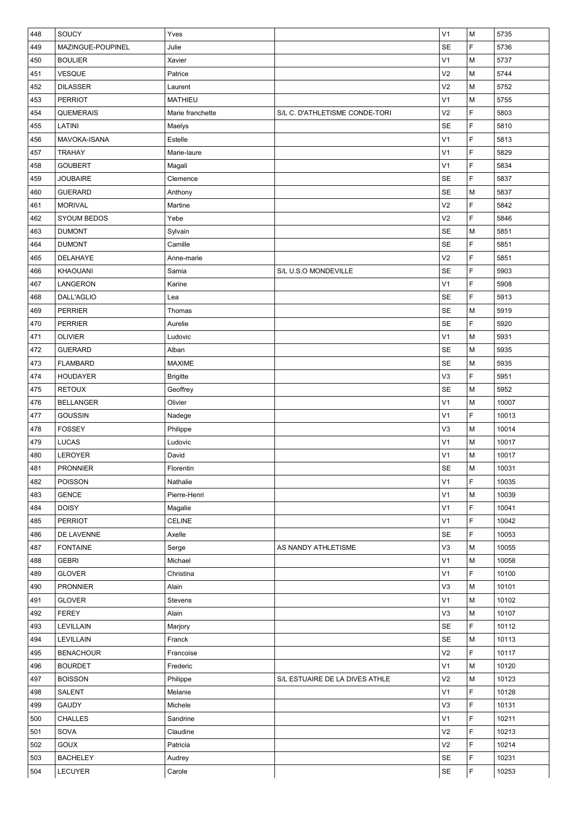| 448 | SOUCY              | Yves             |                                | V <sub>1</sub> | M | 5735  |
|-----|--------------------|------------------|--------------------------------|----------------|---|-------|
| 449 | MAZINGUE-POUPINEL  | Julie            |                                | <b>SE</b>      | F | 5736  |
| 450 | <b>BOULIER</b>     | Xavier           |                                | V <sub>1</sub> | M | 5737  |
| 451 | VESQUE             | Patrice          |                                | V <sub>2</sub> | M | 5744  |
| 452 | <b>DILASSER</b>    | Laurent          |                                | V <sub>2</sub> | M | 5752  |
| 453 | <b>PERRIOT</b>     | <b>MATHIEU</b>   |                                | V <sub>1</sub> | M | 5755  |
| 454 | QUEMERAIS          | Marie franchette | S/L C. D'ATHLETISME CONDE-TORI | V <sub>2</sub> | F | 5803  |
| 455 | LATINI             | Maelys           |                                | <b>SE</b>      | F | 5810  |
| 456 | MAVOKA-ISANA       | Estelle          |                                | V <sub>1</sub> | F | 5813  |
| 457 | <b>TRAHAY</b>      | Marie-laure      |                                | V <sub>1</sub> | F | 5829  |
| 458 | <b>GOUBERT</b>     | Magali           |                                | V <sub>1</sub> | F | 5834  |
| 459 | <b>JOUBAIRE</b>    | Clemence         |                                | <b>SE</b>      | F | 5837  |
| 460 | <b>GUERARD</b>     | Anthony          |                                | SE             | М | 5837  |
| 461 | <b>MORIVAL</b>     | Martine          |                                | V <sub>2</sub> | F | 5842  |
| 462 | <b>SYOUM BEDOS</b> | Yebe             |                                | V <sub>2</sub> | F | 5846  |
| 463 | <b>DUMONT</b>      | Sylvain          |                                | <b>SE</b>      | М | 5851  |
| 464 | <b>DUMONT</b>      | Camille          |                                | <b>SE</b>      | F | 5851  |
| 465 | DELAHAYE           | Anne-marie       |                                | V <sub>2</sub> | F | 5851  |
| 466 | <b>KHAOUANI</b>    | Samia            | S/L U.S.O MONDEVILLE           | <b>SE</b>      | F | 5903  |
| 467 | LANGERON           | Karine           |                                | V <sub>1</sub> | F | 5908  |
| 468 | DALL'AGLIO         | Lea              |                                | SE             | F | 5913  |
| 469 | <b>PERRIER</b>     | Thomas           |                                | SE             | M | 5919  |
| 470 | <b>PERRIER</b>     | Aurelie          |                                | SE             | F | 5920  |
| 471 | <b>OLIVIER</b>     | Ludovic          |                                | V <sub>1</sub> | M | 5931  |
| 472 | <b>GUERARD</b>     | Alban            |                                | SE             | M | 5935  |
| 473 | <b>FLAMBARD</b>    | <b>MAXIME</b>    |                                | <b>SE</b>      | M | 5935  |
| 474 | <b>HOUDAYER</b>    | <b>Brigitte</b>  |                                | V3             | F | 5951  |
| 475 | <b>RETOUX</b>      | Geoffrey         |                                | SE             | М | 5952  |
| 476 | <b>BELLANGER</b>   | Olivier          |                                | V <sub>1</sub> | M | 10007 |
| 477 | <b>GOUSSIN</b>     | Nadege           |                                | V <sub>1</sub> | F | 10013 |
| 478 | <b>FOSSEY</b>      | Philippe         |                                | V <sub>3</sub> | М | 10014 |
| 479 | LUCAS              | Ludovic          |                                | V <sub>1</sub> | М | 10017 |
| 480 | LEROYER            | David            |                                | V <sub>1</sub> | M | 10017 |
| 481 | <b>PRONNIER</b>    | Florentin        |                                | SE             | M | 10031 |
| 482 | <b>POISSON</b>     | Nathalie         |                                | V <sub>1</sub> | F | 10035 |
| 483 | <b>GENCE</b>       | Pierre-Henri     |                                | V <sub>1</sub> | M | 10039 |
| 484 | <b>DOISY</b>       | Magalie          |                                | V <sub>1</sub> | F | 10041 |
| 485 | <b>PERRIOT</b>     | CELINE           |                                | V <sub>1</sub> | F | 10042 |
| 486 | DE LAVENNE         | Axelle           |                                | <b>SE</b>      | F | 10053 |
| 487 | <b>FONTAINE</b>    | Serge            | AS NANDY ATHLETISME            | V3             | M | 10055 |
| 488 | <b>GEBRI</b>       | Michael          |                                | V <sub>1</sub> | M | 10058 |
| 489 | <b>GLOVER</b>      | Christina        |                                | V <sub>1</sub> | F | 10100 |
| 490 | <b>PRONNIER</b>    | Alain            |                                | V3             | M | 10101 |
| 491 | <b>GLOVER</b>      | Stevens          |                                | V <sub>1</sub> | М | 10102 |
| 492 | <b>FEREY</b>       | Alain            |                                | V3             | М | 10107 |
| 493 | <b>LEVILLAIN</b>   | Marjory          |                                | <b>SE</b>      | F | 10112 |
| 494 | LEVILLAIN          | Franck           |                                | <b>SE</b>      | М | 10113 |
| 495 | <b>BENACHOUR</b>   | Francoise        |                                | V <sub>2</sub> | F | 10117 |
| 496 | <b>BOURDET</b>     | Frederic         |                                | V <sub>1</sub> | М | 10120 |
| 497 | <b>BOISSON</b>     | Philippe         | S/L ESTUAIRE DE LA DIVES ATHLE | V <sub>2</sub> | М | 10123 |
| 498 | <b>SALENT</b>      | Melanie          |                                | V <sub>1</sub> | F | 10128 |
| 499 | <b>GAUDY</b>       | Michele          |                                | V <sub>3</sub> | F | 10131 |
| 500 | CHALLES            | Sandrine         |                                | V <sub>1</sub> | F | 10211 |
| 501 | SOVA               | Claudine         |                                | V <sub>2</sub> | F | 10213 |
| 502 | GOUX               | Patricia         |                                | V <sub>2</sub> | F | 10214 |
| 503 | <b>BACHELEY</b>    | Audrey           |                                | SE             | F | 10231 |
| 504 | LECUYER            | Carole           |                                | SE             | F | 10253 |
|     |                    |                  |                                |                |   |       |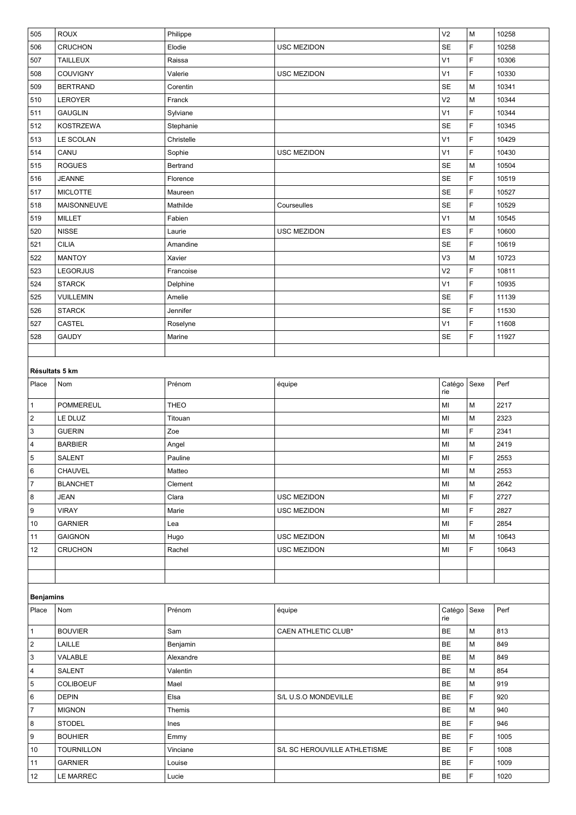| 505              | <b>ROUX</b>       | Philippe    |                              | V <sub>2</sub> | M    | 10258 |  |  |
|------------------|-------------------|-------------|------------------------------|----------------|------|-------|--|--|
| 506              | <b>CRUCHON</b>    | Elodie      | USC MEZIDON                  | <b>SE</b>      | F    | 10258 |  |  |
| 507              | <b>TAILLEUX</b>   | Raissa      |                              | V <sub>1</sub> | F    | 10306 |  |  |
| 508              | COUVIGNY          | Valerie     | USC MEZIDON                  | V <sub>1</sub> | F    | 10330 |  |  |
| 509              | <b>BERTRAND</b>   | Corentin    |                              | <b>SE</b>      | M    | 10341 |  |  |
| 510              | LEROYER           | Franck      |                              | V <sub>2</sub> | М    | 10344 |  |  |
| 511              | <b>GAUGLIN</b>    | Sylviane    |                              | V <sub>1</sub> | F    | 10344 |  |  |
| 512              | <b>KOSTRZEWA</b>  | Stephanie   |                              | SE             | F    | 10345 |  |  |
| 513              | LE SCOLAN         | Christelle  |                              | V <sub>1</sub> | F    | 10429 |  |  |
| 514              | CANU              | Sophie      | <b>USC MEZIDON</b>           | V <sub>1</sub> | F    | 10430 |  |  |
| 515              | <b>ROGUES</b>     | Bertrand    |                              | <b>SE</b>      | M    | 10504 |  |  |
| 516              | <b>JEANNE</b>     | Florence    |                              | SE             | F    | 10519 |  |  |
| 517              | <b>MICLOTTE</b>   | Maureen     |                              | SE             | F    | 10527 |  |  |
| 518              | MAISONNEUVE       | Mathilde    | Courseulles                  | SE             | F    | 10529 |  |  |
| 519              | <b>MILLET</b>     | Fabien      |                              | V <sub>1</sub> | M    | 10545 |  |  |
| 520              | <b>NISSE</b>      | Laurie      | USC MEZIDON                  | ES             | F    | 10600 |  |  |
| 521              | <b>CILIA</b>      | Amandine    |                              | <b>SE</b>      | F    | 10619 |  |  |
| 522              | <b>MANTOY</b>     | Xavier      |                              | V <sub>3</sub> | M    | 10723 |  |  |
| 523              | <b>LEGORJUS</b>   | Francoise   |                              | V <sub>2</sub> | F    | 10811 |  |  |
| 524              | <b>STARCK</b>     | Delphine    |                              | V <sub>1</sub> | F    | 10935 |  |  |
| 525              | VUILLEMIN         | Amelie      |                              | SE             | F    | 11139 |  |  |
| 526              | <b>STARCK</b>     | Jennifer    |                              | SE             | F    | 11530 |  |  |
| 527              | CASTEL            | Roselyne    |                              | V <sub>1</sub> | F    | 11608 |  |  |
| 528              | <b>GAUDY</b>      | Marine      |                              | SE             | F    | 11927 |  |  |
|                  |                   |             |                              |                |      |       |  |  |
| Résultats 5 km   |                   |             |                              |                |      |       |  |  |
| Place            | Nom               | Prénom      | équipe                       | Catégo         | Sexe | Perf  |  |  |
|                  |                   |             |                              | rie            |      |       |  |  |
| $\mathbf{1}$     | <b>POMMEREUL</b>  | <b>THEO</b> |                              | MI             | М    | 2217  |  |  |
| $\sqrt{2}$       | LE DLUZ           | Titouan     |                              | MI             | M    | 2323  |  |  |
| $\sqrt{3}$       | <b>GUERIN</b>     | Zoe         |                              | MI             | F    | 2341  |  |  |
| 4                | <b>BARBIER</b>    | Angel       |                              | MI             | М    | 2419  |  |  |
| $\overline{5}$   | <b>SALENT</b>     | Pauline     |                              | MI             | F    | 2553  |  |  |
| 6                | CHAUVEL           | Matteo      |                              | MI             | М    | 2553  |  |  |
| $\overline{7}$   | <b>BLANCHET</b>   | Clement     |                              | MI             | М    | 2642  |  |  |
| 8                | <b>JEAN</b>       | Clara       | USC MEZIDON                  | MI             | F    | 2727  |  |  |
| 9                | <b>VIRAY</b>      | Marie       | USC MEZIDON                  | MI             | F    | 2827  |  |  |
| 10               | <b>GARNIER</b>    | Lea         |                              | MI             | F    | 2854  |  |  |
| 11               | <b>GAIGNON</b>    | Hugo        | <b>USC MEZIDON</b>           | MI             | М    | 10643 |  |  |
| 12               | <b>CRUCHON</b>    | Rachel      | USC MEZIDON                  | MI             | F    | 10643 |  |  |
|                  |                   |             |                              |                |      |       |  |  |
|                  |                   |             |                              |                |      |       |  |  |
| <b>Benjamins</b> |                   |             |                              |                |      |       |  |  |
| Place            | Nom               | Prénom      | équipe                       | Catégo         | Sexe | Perf  |  |  |
|                  |                   |             |                              | rie            |      |       |  |  |
| $\mathbf{1}$     | <b>BOUVIER</b>    | Sam         | CAEN ATHLETIC CLUB*          | BE             | М    | 813   |  |  |
| $\sqrt{2}$       | LAILLE            | Benjamin    |                              | <b>BE</b>      | M    | 849   |  |  |
| 3                | VALABLE           | Alexandre   |                              | <b>BE</b>      | M    | 849   |  |  |
| $\overline{a}$   | SALENT            | Valentin    |                              | <b>BE</b>      | M    | 854   |  |  |
| $\,$ 5 $\,$      | <b>COLIBOEUF</b>  | Mael        |                              | BE             | M    | 919   |  |  |
| 6                | <b>DEPIN</b>      | Elsa        | S/L U.S.O MONDEVILLE         | <b>BE</b>      | F    | 920   |  |  |
| $\overline{7}$   | <b>MIGNON</b>     | Themis      |                              | <b>BE</b>      | М    | 940   |  |  |
| 8                | <b>STODEL</b>     | Ines        |                              | <b>BE</b>      | F    | 946   |  |  |
| 9                | <b>BOUHIER</b>    | Emmy        |                              | <b>BE</b>      | F    | 1005  |  |  |
| 10               | <b>TOURNILLON</b> | Vinciane    | S/L SC HEROUVILLE ATHLETISME | BE             | F    | 1008  |  |  |
| 11               | <b>GARNIER</b>    | Louise      |                              | <b>BE</b>      | F    | 1009  |  |  |
| 12               | LE MARREC         | Lucie       |                              | <b>BE</b>      | F    | 1020  |  |  |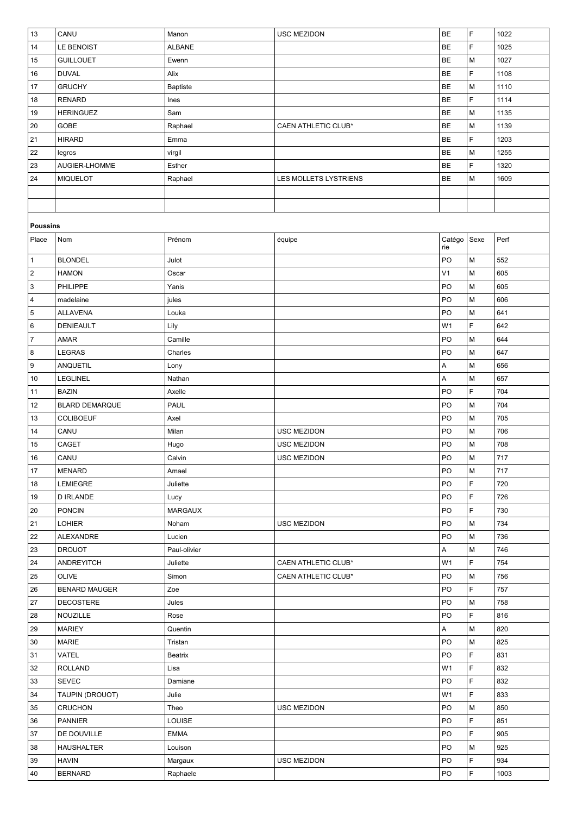| 13               | CANU                  | Manon           | USC MEZIDON                | <b>BE</b>      | F    | 1022 |
|------------------|-----------------------|-----------------|----------------------------|----------------|------|------|
| 14               | LE BENOIST            | <b>ALBANE</b>   |                            | BE             | F    | 1025 |
| 15               | <b>GUILLOUET</b>      | Ewenn           |                            | <b>BE</b>      | M    | 1027 |
| 16               | <b>DUVAL</b>          | Alix            |                            | BE             | F    | 1108 |
| 17               | <b>GRUCHY</b>         | <b>Baptiste</b> |                            | BE             | M    | 1110 |
| 18               | <b>RENARD</b>         | Ines            |                            | <b>BE</b>      | F    | 1114 |
| 19               | <b>HERINGUEZ</b>      | Sam             |                            | <b>BE</b>      | M    | 1135 |
| 20               | GOBE                  | Raphael         | CAEN ATHLETIC CLUB*        | <b>BE</b>      | M    | 1139 |
| 21               | <b>HIRARD</b>         | Emma            |                            | BE             | F    | 1203 |
| 22               | legros                | virgil          |                            | <b>BE</b>      | M    | 1255 |
| 23               | AUGIER-LHOMME         | Esther          |                            | BE             | F    | 1320 |
| 24               | <b>MIQUELOT</b>       | Raphael         | LES MOLLETS LYSTRIENS      | BE             | M    | 1609 |
|                  |                       |                 |                            |                |      |      |
|                  |                       |                 |                            |                |      |      |
|                  |                       |                 |                            |                |      |      |
| <b>Poussins</b>  |                       |                 |                            |                |      |      |
| Place            | Nom                   | Prénom          | équipe                     | Catégo<br>rie  | Sexe | Perf |
| $\mathbf{1}$     | <b>BLONDEL</b>        | Julot           |                            | PO             | M    | 552  |
| $\overline{2}$   | <b>HAMON</b>          | Oscar           |                            | V <sub>1</sub> | M    | 605  |
| 3                | PHILIPPE              | Yanis           |                            | PO             | M    | 605  |
| $\sqrt{4}$       | madelaine             | jules           |                            | PO             | M    | 606  |
| 5                | <b>ALLAVENA</b>       | Louka           |                            | PO             | M    | 641  |
| 6                | DENIEAULT             | Lily            |                            | W <sub>1</sub> | F    | 642  |
| $\overline{7}$   | AMAR                  | Camille         |                            | PO             | M    | 644  |
| 8                | <b>LEGRAS</b>         | Charles         |                            | PO             | M    | 647  |
| $\boldsymbol{9}$ | ANQUETIL              | Lony            |                            | A              | M    | 656  |
| 10               | LEGLINEL              | Nathan          |                            | А              | M    | 657  |
| 11               | <b>BAZIN</b>          | Axelle          |                            | PO             | F    | 704  |
| 12               | <b>BLARD DEMARQUE</b> | PAUL            |                            | PO             | M    | 704  |
| 13               | <b>COLIBOEUF</b>      | Axel            |                            | PO             | M    | 705  |
| 14               | CANU                  | Milan           | <b>USC MEZIDON</b>         | PO             | M    | 706  |
| 15               | CAGET                 | Hugo            | USC MEZIDON                | PO             | M    | 708  |
| 16               | CANU                  | Calvin          | USC MEZIDON                | PO             | M    | 717  |
| 17               | <b>MENARD</b>         | Amael           |                            | PO             | M    | 717  |
| 18               | <b>LEMIEGRE</b>       | Juliette        |                            | PO             | F    | 720  |
| 19               | <b>D IRLANDE</b>      | Lucy            |                            | PO             | F    | 726  |
| 20               | <b>PONCIN</b>         | <b>MARGAUX</b>  |                            | PO             | F    | 730  |
| 21               | <b>LOHIER</b>         | Noham           | <b>USC MEZIDON</b>         | PO             | М    | 734  |
| 22               | ALEXANDRE             | Lucien          |                            | PO             | M    | 736  |
| 23               | <b>DROUOT</b>         | Paul-olivier    |                            | А              | M    | 746  |
| 24               | <b>ANDREYITCH</b>     | Juliette        | CAEN ATHLETIC CLUB*        | W <sub>1</sub> | F    | 754  |
| 25               | <b>OLIVE</b>          | Simon           | <b>CAEN ATHLETIC CLUB*</b> | PO             | М    | 756  |
| 26               | <b>BENARD MAUGER</b>  | Zoe             |                            | PO             | F    | 757  |
| 27               | <b>DECOSTERE</b>      | Jules           |                            | PO             | M    | 758  |
| 28               | NOUZILLE              | Rose            |                            | PO             | F    | 816  |
| 29               | <b>MARIEY</b>         | Quentin         |                            | Α              | М    | 820  |
| 30               | <b>MARIE</b>          | Tristan         |                            | PO             | M    | 825  |
| 31               | VATEL                 | Beatrix         |                            | PO             | F    | 831  |
| 32               | <b>ROLLAND</b>        | Lisa            |                            | W <sub>1</sub> | F    | 832  |
| 33               | <b>SEVEC</b>          | Damiane         |                            | PO             | F    | 832  |
| 34               | TAUPIN (DROUOT)       | Julie           |                            | W <sub>1</sub> | F    | 833  |
| 35               | <b>CRUCHON</b>        | Theo            | USC MEZIDON                | PO             | M    | 850  |
| 36               | <b>PANNIER</b>        | LOUISE          |                            | PO             | F    | 851  |
| 37               | DE DOUVILLE           | <b>EMMA</b>     |                            | PO             | F    | 905  |
| 38               | <b>HAUSHALTER</b>     | Louison         |                            | PO             | M    | 925  |
| 39               | <b>HAVIN</b>          | Margaux         | USC MEZIDON                | PO             | F    | 934  |
| 40               | <b>BERNARD</b>        | Raphaele        |                            | PO             | F    | 1003 |